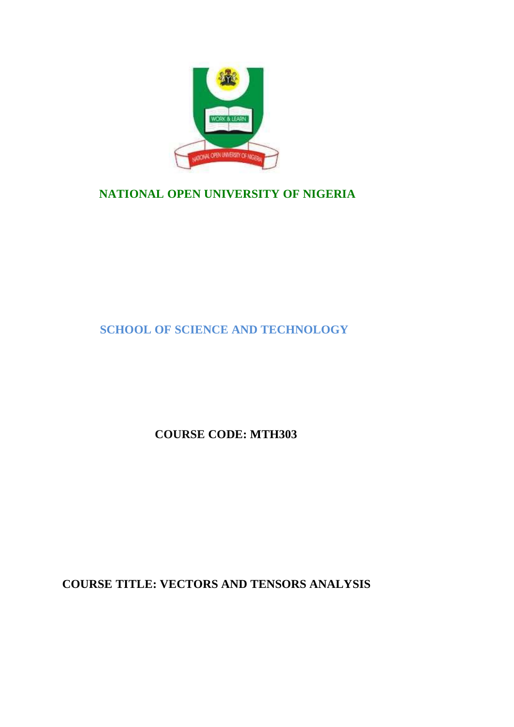

# **NATIONAL OPEN UNIVERSITY OF NIGERIA**

**SCHOOL OF SCIENCE AND TECHNOLOGY**

**COURSE CODE: MTH303**

**COURSE TITLE: VECTORS AND TENSORS ANALYSIS**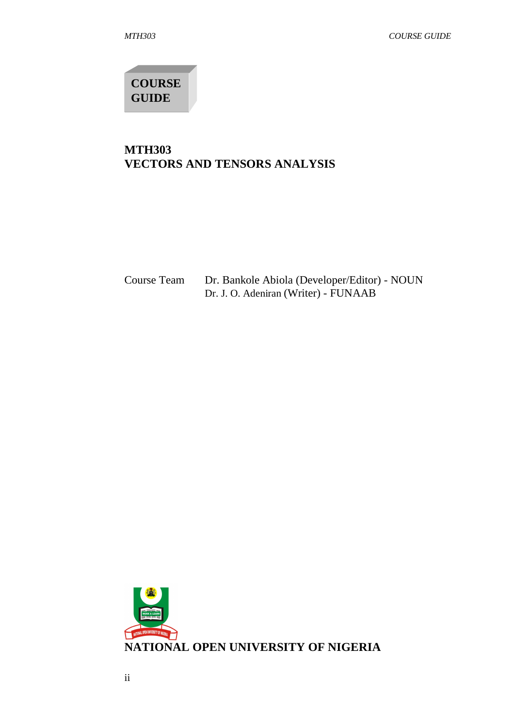**COURSE GUIDE**

# **MTH303 VECTORS AND TENSORS ANALYSIS**

| Course Team | Dr. Bankole Abiola (Developer/Editor) - NOUN |
|-------------|----------------------------------------------|
|             | Dr. J. O. Adeniran (Writer) - FUNAAB         |

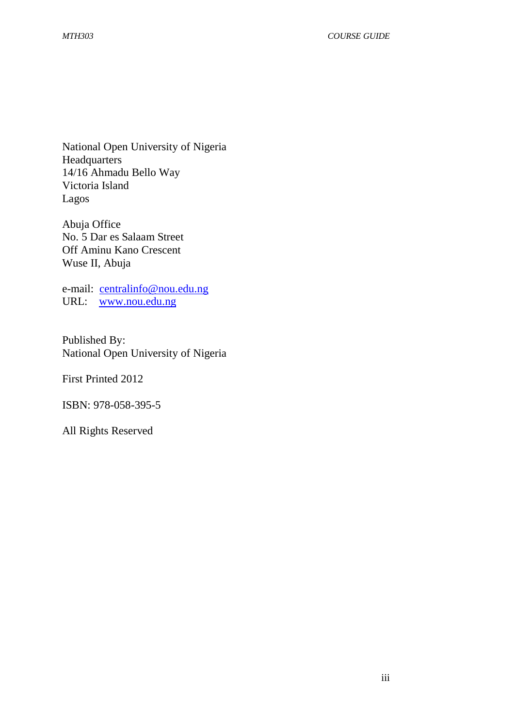National Open University of Nigeria **Headquarters** 14/16 Ahmadu Bello Way Victoria Island Lagos

Abuja Office No. 5 Dar es Salaam Street Off Aminu Kano Crescent Wuse II, Abuja

e-mail: centralinfo@nou.edu.ng URL: www.nou.edu.ng

Published By: National Open University of Nigeria

First Printed 2012

ISBN: 978-058-395-5

All Rights Reserved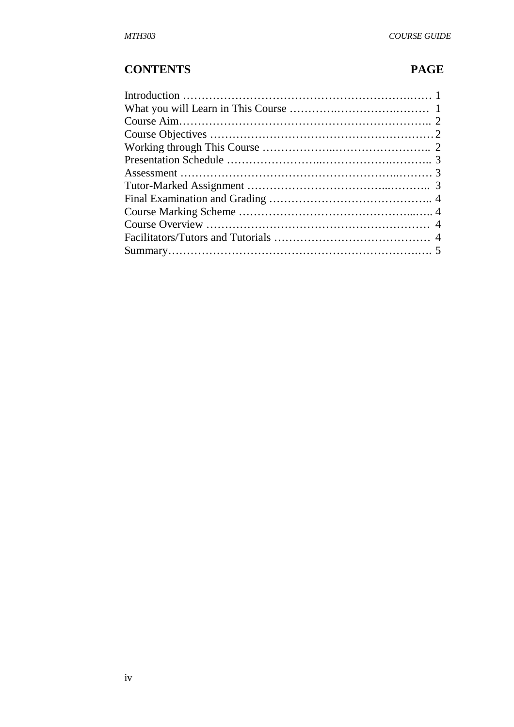# **CONTENTS PAGE**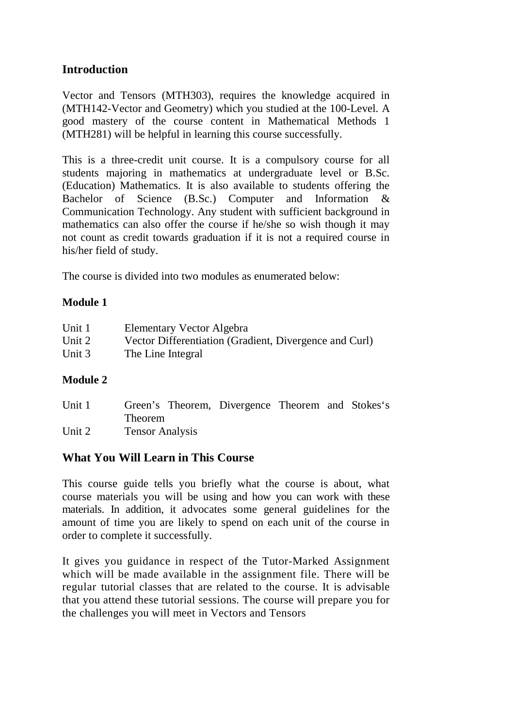## **Introduction**

Vector and Tensors (MTH303), requires the knowledge acquired in (MTH142-Vector and Geometry) which you studied at the 100-Level. A good mastery of the course content in Mathematical Methods 1 (MTH281) will be helpful in learning this course successfully.

This is a three-credit unit course. It is a compulsory course for all students majoring in mathematics at undergraduate level or B.Sc. (Education) Mathematics. It is also available to students offering the Bachelor of Science (B.Sc.) Computer and Information & Communication Technology. Any student with sufficient background in mathematics can also offer the course if he/she so wish though it may not count as credit towards graduation if it is not a required course in his/her field of study.

The course is divided into two modules as enumerated below:

## **Module 1**

| Unit 1 | Elementary Vector Algebra                              |
|--------|--------------------------------------------------------|
| Unit 2 | Vector Differentiation (Gradient, Divergence and Curl) |
| Unit 3 | The Line Integral                                      |

## **Module 2**

| Unit 1 | Green's Theorem, Divergence Theorem and Stokes's |  |  |
|--------|--------------------------------------------------|--|--|
|        | <b>Theorem</b>                                   |  |  |
| Unit 2 | <b>Tensor Analysis</b>                           |  |  |

## **What You Will Learn in This Course**

This course guide tells you briefly what the course is about, what course materials you will be using and how you can work with these materials. In addition, it advocates some general guidelines for the amount of time you are likely to spend on each unit of the course in order to complete it successfully.

It gives you guidance in respect of the Tutor-Marked Assignment which will be made available in the assignment file. There will be regular tutorial classes that are related to the course. It is advisable that you attend these tutorial sessions. The course will prepare you for the challenges you will meet in Vectors and Tensors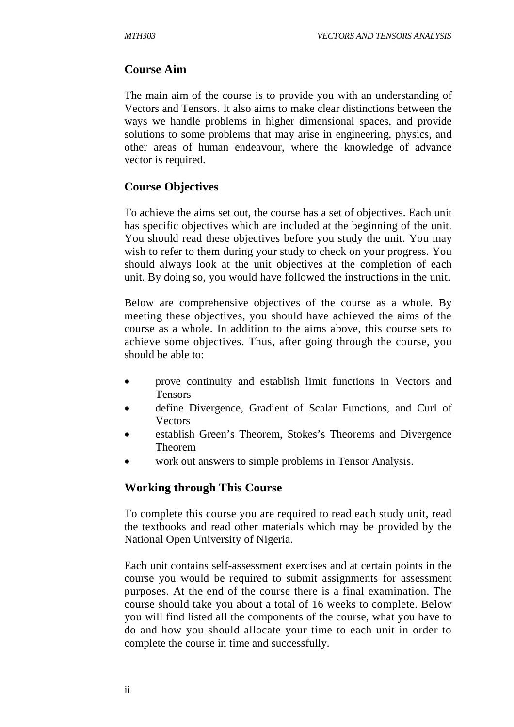## **Course Aim**

The main aim of the course is to provide you with an understanding of Vectors and Tensors. It also aims to make clear distinctions between the ways we handle problems in higher dimensional spaces, and provide solutions to some problems that may arise in engineering, physics, and other areas of human endeavour, where the knowledge of advance vector is required.

## **Course Objectives**

To achieve the aims set out, the course has a set of objectives. Each unit has specific objectives which are included at the beginning of the unit. You should read these objectives before you study the unit. You may wish to refer to them during your study to check on your progress. You should always look at the unit objectives at the completion of each unit. By doing so, you would have followed the instructions in the unit.

Below are comprehensive objectives of the course as a whole. By meeting these objectives, you should have achieved the aims of the course as a whole. In addition to the aims above, this course sets to achieve some objectives. Thus, after going through the course, you should be able to:

- prove continuity and establish limit functions in Vectors and Tensors
- define Divergence, Gradient of Scalar Functions, and Curl of Vectors
- establish Green's Theorem, Stokes's Theorems and Divergence Theorem
- work out answers to simple problems in Tensor Analysis.

## **Working through This Course**

To complete this course you are required to read each study unit, read the textbooks and read other materials which may be provided by the National Open University of Nigeria.

Each unit contains self-assessment exercises and at certain points in the course you would be required to submit assignments for assessment purposes. At the end of the course there is a final examination. The course should take you about a total of 16 weeks to complete. Below you will find listed all the components of the course, what you have to do and how you should allocate your time to each unit in order to complete the course in time and successfully.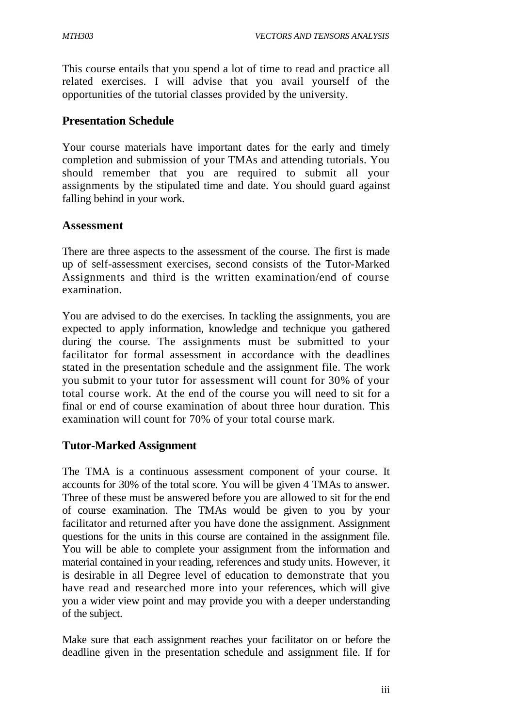This course entails that you spend a lot of time to read and practice all related exercises. I will advise that you avail yourself of the opportunities of the tutorial classes provided by the university.

## **Presentation Schedule**

Your course materials have important dates for the early and timely completion and submission of your TMAs and attending tutorials. You should remember that you are required to submit all your assignments by the stipulated time and date. You should guard against falling behind in your work.

## **Assessment**

There are three aspects to the assessment of the course. The first is made up of self-assessment exercises, second consists of the Tutor-Marked Assignments and third is the written examination/end of course examination.

You are advised to do the exercises. In tackling the assignments, you are expected to apply information, knowledge and technique you gathered during the course. The assignments must be submitted to your facilitator for formal assessment in accordance with the deadlines stated in the presentation schedule and the assignment file. The work you submit to your tutor for assessment will count for 30% of your total course work. At the end of the course you will need to sit for a final or end of course examination of about three hour duration. This examination will count for 70% of your total course mark.

## **Tutor-Marked Assignment**

The TMA is a continuous assessment component of your course. It accounts for 30% of the total score. You will be given 4 TMAs to answer. Three of these must be answered before you are allowed to sit for the end of course examination. The TMAs would be given to you by your facilitator and returned after you have done the assignment. Assignment questions for the units in this course are contained in the assignment file. You will be able to complete your assignment from the information and material contained in your reading, references and study units. However, it is desirable in all Degree level of education to demonstrate that you have read and researched more into your references, which will give you a wider view point and may provide you with a deeper understanding of the subject.

Make sure that each assignment reaches your facilitator on or before the deadline given in the presentation schedule and assignment file. If for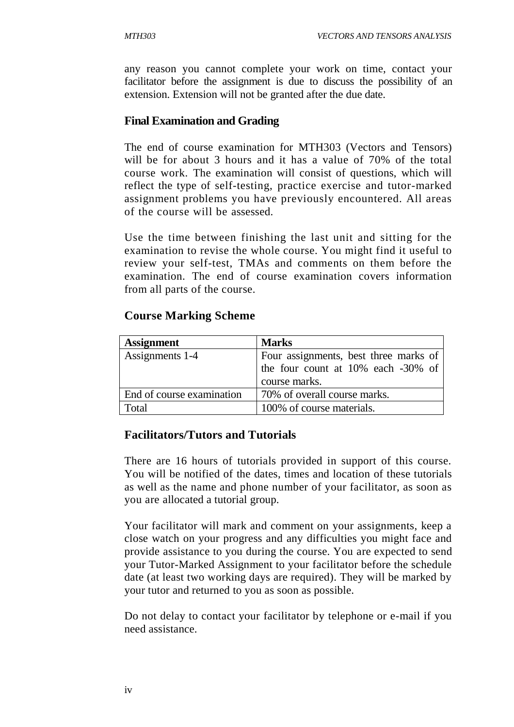any reason you cannot complete your work on time, contact your facilitator before the assignment is due to discuss the possibility of an extension. Extension will not be granted after the due date.

## **Final Examination and Grading**

The end of course examination for MTH303 (Vectors and Tensors) will be for about 3 hours and it has a value of 70% of the total course work. The examination will consist of questions, which will reflect the type of self-testing, practice exercise and tutor-marked assignment problems you have previously encountered. All areas of the course will be assessed.

Use the time between finishing the last unit and sitting for the examination to revise the whole course. You might find it useful to review your self-test, TMAs and comments on them before the examination. The end of course examination covers information from all parts of the course.

# **Course Marking Scheme**

| <b>Assignment</b>         | <b>Marks</b>                          |  |  |  |  |
|---------------------------|---------------------------------------|--|--|--|--|
| Assignments 1-4           | Four assignments, best three marks of |  |  |  |  |
|                           | the four count at 10% each -30% of    |  |  |  |  |
|                           | course marks.                         |  |  |  |  |
| End of course examination | 70% of overall course marks.          |  |  |  |  |
| Total                     | 100% of course materials.             |  |  |  |  |

## **Facilitators/Tutors and Tutorials**

There are 16 hours of tutorials provided in support of this course. You will be notified of the dates, times and location of these tutorials as well as the name and phone number of your facilitator, as soon as you are allocated a tutorial group.

Your facilitator will mark and comment on your assignments, keep a close watch on your progress and any difficulties you might face and provide assistance to you during the course. You are expected to send your Tutor-Marked Assignment to your facilitator before the schedule date (at least two working days are required). They will be marked by your tutor and returned to you as soon as possible.

Do not delay to contact your facilitator by telephone or e-mail if you need assistance.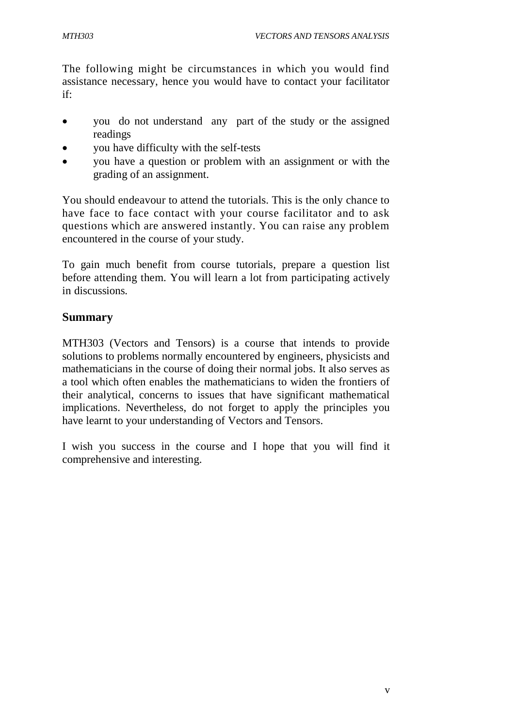The following might be circumstances in which you would find assistance necessary, hence you would have to contact your facilitator if:

- you do not understand any part of the study or the assigned readings
- you have difficulty with the self-tests
- you have a question or problem with an assignment or with the grading of an assignment.

You should endeavour to attend the tutorials. This is the only chance to have face to face contact with your course facilitator and to ask questions which are answered instantly. You can raise any problem encountered in the course of your study.

To gain much benefit from course tutorials, prepare a question list before attending them. You will learn a lot from participating actively in discussions.

## **Summary**

MTH303 (Vectors and Tensors) is a course that intends to provide solutions to problems normally encountered by engineers, physicists and mathematicians in the course of doing their normal jobs. It also serves as a tool which often enables the mathematicians to widen the frontiers of their analytical, concerns to issues that have significant mathematical implications. Nevertheless, do not forget to apply the principles you have learnt to your understanding of Vectors and Tensors.

I wish you success in the course and I hope that you will find it comprehensive and interesting.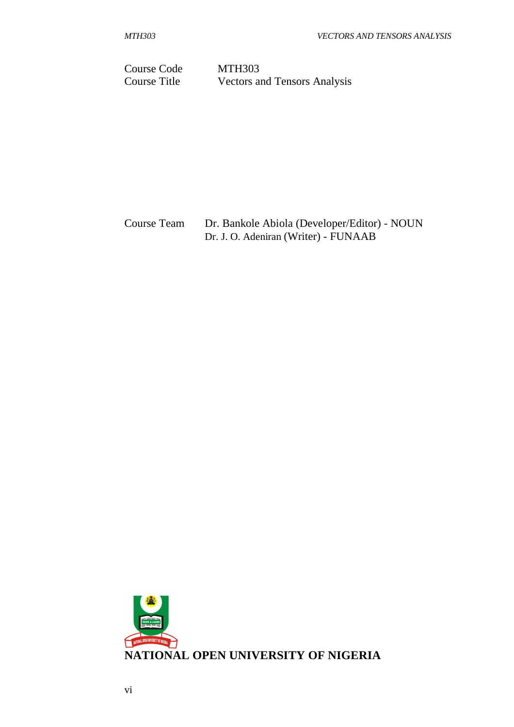Course Code MTH303 Course Title Vectors and Tensors Analysis

Course Team Dr. Bankole Abiola (Developer/Editor) - NOUN Dr. J. O. Adeniran (Writer) - FUNAAB

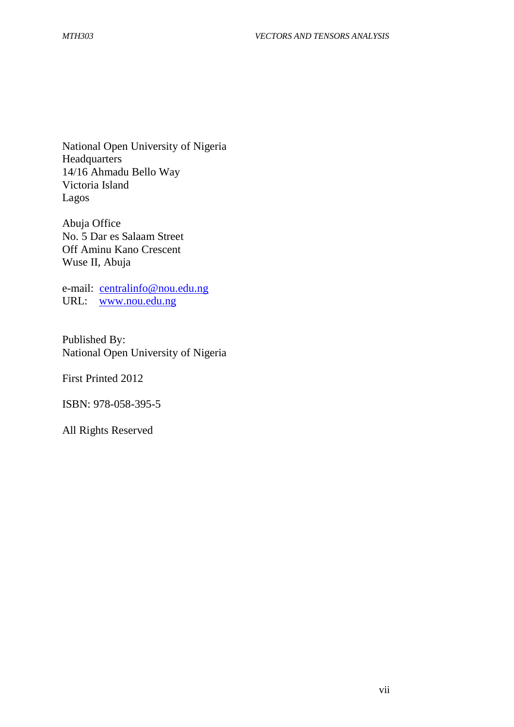National Open University of Nigeria **Headquarters** 14/16 Ahmadu Bello Way Victoria Island Lagos

Abuja Office No. 5 Dar es Salaam Street Off Aminu Kano Crescent Wuse II, Abuja

e-mail: centralinfo@nou.edu.ng URL: www.nou.edu.ng

Published By: National Open University of Nigeria

First Printed 2012

ISBN: 978-058-395-5

All Rights Reserved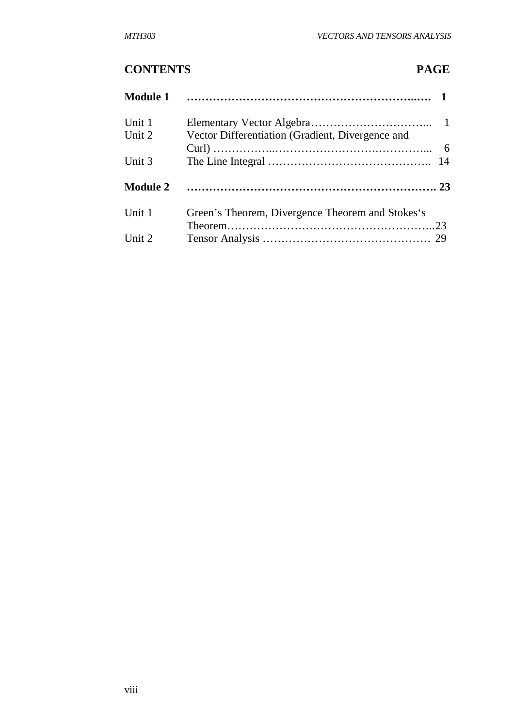# **CONTENTS PAGE**

| <b>Module 1</b>  |                                                  |  |
|------------------|--------------------------------------------------|--|
| Unit 1<br>Unit 2 | Vector Differentiation (Gradient, Divergence and |  |
|                  |                                                  |  |
| Unit 3           |                                                  |  |
| <b>Module 2</b>  |                                                  |  |
| Unit 1           | Green's Theorem, Divergence Theorem and Stokes's |  |
|                  |                                                  |  |
| Unit 2           |                                                  |  |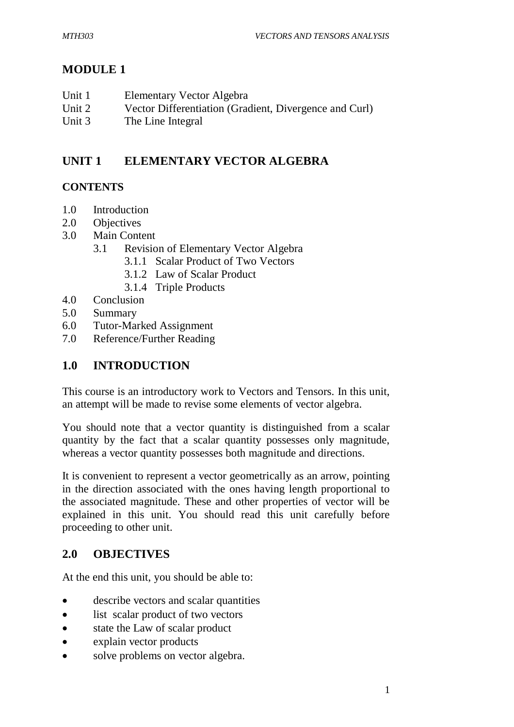# **MODULE 1**

| Unit 1 | Elementary Vector Algebra                              |
|--------|--------------------------------------------------------|
| Unit 2 | Vector Differentiation (Gradient, Divergence and Curl) |
| Unit 3 | The Line Integral                                      |

# **UNIT 1 ELEMENTARY VECTOR ALGEBRA**

# **CONTENTS**

- 1.0 Introduction
- 2.0 Objectives
- 3.0 Main Content
	- 3.1 Revision of Elementary Vector Algebra
		- 3.1.1 Scalar Product of Two Vectors
		- 3.1.2 Law of Scalar Product
		- 3.1.4 Triple Products
- 4.0 Conclusion
- 5.0 Summary
- 6.0 Tutor-Marked Assignment
- 7.0 Reference/Further Reading

# **1.0 INTRODUCTION**

This course is an introductory work to Vectors and Tensors. In this unit, an attempt will be made to revise some elements of vector algebra.

You should note that a vector quantity is distinguished from a scalar quantity by the fact that a scalar quantity possesses only magnitude, whereas a vector quantity possesses both magnitude and directions.

It is convenient to represent a vector geometrically as an arrow, pointing in the direction associated with the ones having length proportional to the associated magnitude. These and other properties of vector will be explained in this unit. You should read this unit carefully before proceeding to other unit.

## **2.0 OBJECTIVES**

At the end this unit, you should be able to:

- describe vectors and scalar quantities
- list scalar product of two vectors
- state the Law of scalar product
- explain vector products
- solve problems on vector algebra.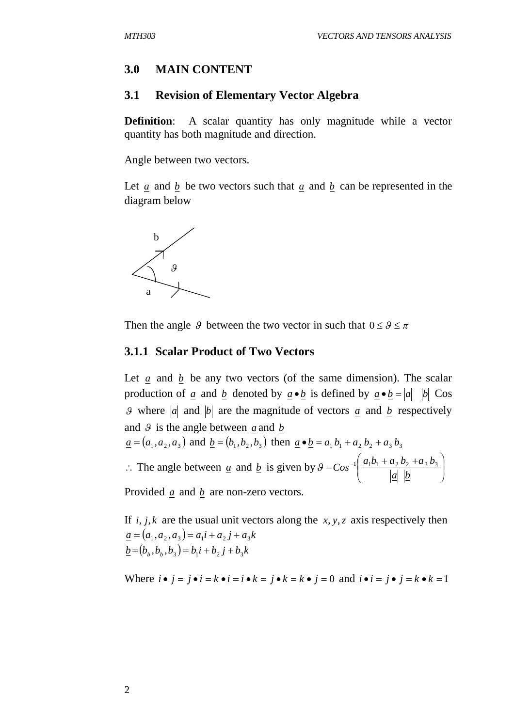#### **3.0 MAIN CONTENT**

#### **3.1 Revision of Elementary Vector Algebra**

**Definition:** A scalar quantity has only magnitude while a vector quantity has both magnitude and direction.

Angle between two vectors.

Let *a* and *b* be two vectors such that *a* and *b* can be represented in the diagram below



Then the angle 9 between the two vector in such that  $0 \le \theta \le \pi$ 

#### **3.1.1 Scalar Product of Two Vectors**

Let *a* and *b* be any two vectors (of the same dimension). The scalar production of *a* and *b* denoted by  $a \cdot b$  is defined by  $a \cdot b = |a| |b| \text{Cos } a$ 9 where  $|a|$  and  $|b|$  are the magnitude of vectors  $a$  and  $b$  respectively and  $\theta$  is the angle between *a* and *b* 

$$
\underline{a} = (a_1, a_2, a_3)
$$
 and  $\underline{b} = (b_1, b_2, b_3)$  then  $\underline{a} \cdot \underline{b} = a_1 b_1 + a_2 b_2 + a_3 b_3$ 

 $\therefore$  The angle between <u>a</u> and <u>b</u> is given by  $9 = Cos^{-1} \left| \frac{a_1b_1 + a_2b_2 + a_3b_3}{|a||b|} \right|$  $\bigg)$  $\setminus$  $\overline{\phantom{a}}$  $\setminus$  $= \cos^{-1} \left( \frac{a_1b_1 + a_2b_2 + b_1}{1 + b_1} \right)$ *a b*  $\theta = Cos^{-1} \left( \frac{a_1b_1 + a_2b_2 + a_3b_3}{1 + b_1} \right)$ 

Provided *a* and *b* are non-zero vectors.

If  $i, j, k$  are the usual unit vectors along the  $x, y, z$  axis respectively then  $\underline{a} = (a_1, a_2, a_3) = a_1 i + a_2 j + a_3 k$  $\underline{b} = (b_b, b_b, b_3) = b_1 i + b_2 j + b_3 k$ 

Where  $i \cdot j = j \cdot i = k \cdot i = i \cdot k = j \cdot k = k \cdot j = 0$  and  $i \cdot i = j \cdot j = k \cdot k = 1$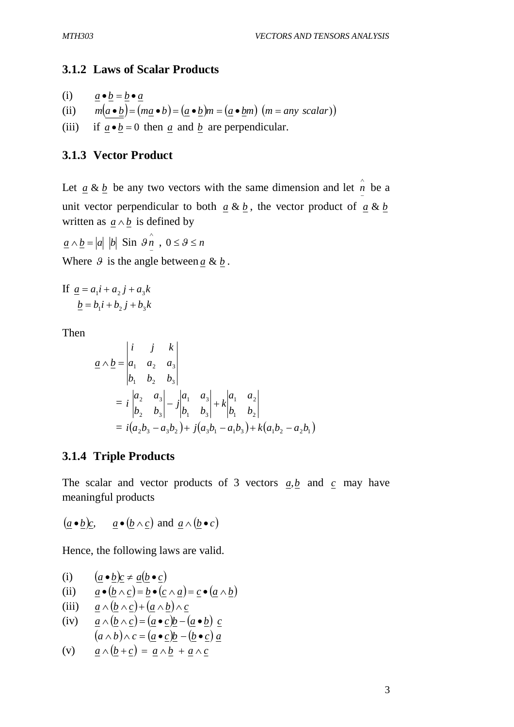## **3.1.2 Laws of Scalar Products**

(i) 
$$
\underline{a} \cdot \underline{b} = \underline{b} \cdot \underline{a}
$$

- (ii)  $m(a \bullet b) = (ma \bullet b) = (a \bullet b)m = (a \bullet bm) (m = any scalar)$
- (iii) if  $a \cdot b = 0$  then *a* and *b* are perpendicular.

## **3.1.3 Vector Product**

Let  $\underline{a} \& \underline{b}$  be any two vectors with the same dimension and let  $\hat{n}$  *n* be a unit vector perpendicular to both  $a \& b$ , the vector product of  $a \& b$ written as  $a \wedge b$  is defined by

$$
\underline{a} \wedge \underline{b} = |a| |b| \sin \theta \hat{n}, 0 \le \theta \le n
$$

Where  $\theta$  is the angle between  $a \& b$ .

If 
$$
\underline{a} = a_1 i + a_2 j + a_3 k
$$

$$
\underline{b} = b_1 i + b_2 j + b_3 k
$$

Then

$$
\underline{a} \wedge \underline{b} = \begin{vmatrix} i & j & k \\ a_1 & a_2 & a_3 \\ b_1 & b_2 & b_3 \end{vmatrix}
$$
  
=  $i \begin{vmatrix} a_2 & a_3 \\ b_2 & b_3 \end{vmatrix} - j \begin{vmatrix} a_1 & a_3 \\ b_1 & b_3 \end{vmatrix} + k \begin{vmatrix} a_1 & a_2 \\ b_1 & b_2 \end{vmatrix}$   
=  $i(a_2b_3 - a_3b_2) + j(a_3b_1 - a_1b_3) + k(a_1b_2 - a_2b_1)$ 

### **3.1.4 Triple Products**

The scalar and vector products of 3 vectors *a*,*b* and *c* may have meaningful products

$$
(\underline{a} \bullet \underline{b})\underline{c}
$$
,  $\underline{a} \bullet (\underline{b} \land \underline{c})$  and  $\underline{a} \land (\underline{b} \bullet \underline{c})$ 

Hence, the following laws are valid.

(i) 
$$
(\underline{a} \cdot \underline{b})\underline{c} \neq \underline{a}(\underline{b} \cdot \underline{c})
$$

(ii) 
$$
\underline{a} \bullet (\underline{b} \wedge \underline{c}) = \underline{b} \bullet (\underline{c} \wedge \underline{a}) = \underline{c} \bullet (\underline{a} \wedge \underline{b})
$$

(iii)  $\underline{a} \wedge (\underline{b} \wedge \underline{c}) + (\underline{a} \wedge \underline{b}) \wedge \underline{c}$ 

(iv) 
$$
\underline{a} \wedge (\underline{b} \wedge \underline{c}) = (\underline{a} \cdot \underline{c})\underline{b} - (\underline{a} \cdot \underline{b}) \underline{c}
$$
  
 $(a \wedge b) \wedge c = (\underline{a} \cdot \underline{c})\underline{b} - (\underline{b} \cdot \underline{c}) \underline{a}$ 

$$
(v) \qquad \underline{a} \wedge (\underline{b} + \underline{c}) = \underline{a} \wedge \underline{b} + \underline{a} \wedge \underline{c}
$$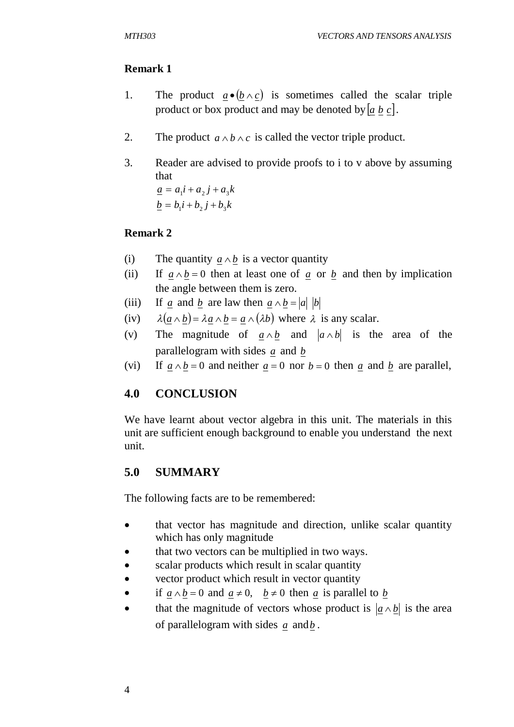## **Remark 1**

- 1. The product  $a \cdot (b \wedge c)$  is sometimes called the scalar triple product or box product and may be denoted by  $[a, b, c]$ .
- 2. The product  $a \wedge b \wedge c$  is called the vector triple product.
- 3. Reader are advised to provide proofs to i to v above by assuming that

 $a = a_1 i + a_2 j + a_3 k$  $b = b_1 i + b_2 j + b_3 k$ 

## **Remark 2**

- (i) The quantity  $a \wedge b$  is a vector quantity
- (ii) If  $a \wedge b = 0$  then at least one of *a* or *b* and then by implication the angle between them is zero.
- (iii) If <u>a</u> and <u>b</u> are law then  $\underline{a} \wedge \underline{b} = |\underline{a}| |\underline{b}|$
- (iv)  $\lambda(a \wedge b) = \lambda a \wedge b = a \wedge (\lambda b)$  where  $\lambda$  is any scalar.
- (v) The magnitude of  $a \wedge b$  and  $|a \wedge b|$  is the area of the parallelogram with sides *a* and *b*
- (vi) If  $a \wedge b = 0$  and neither  $a = 0$  nor  $b = 0$  then *a* and *b* are parallel,

## **4.0 CONCLUSION**

We have learnt about vector algebra in this unit. The materials in this unit are sufficient enough background to enable you understand the next unit.

## **5.0 SUMMARY**

The following facts are to be remembered:

- that vector has magnitude and direction, unlike scalar quantity which has only magnitude
- that two vectors can be multiplied in two ways.
- scalar products which result in scalar quantity
- vector product which result in vector quantity
- if  $a \wedge b = 0$  and  $a \neq 0$ ,  $b \neq 0$  then *a* is parallel to *b*
- that the magnitude of vectors whose product is  $|a \wedge b|$  is the area of parallelogram with sides *a* and*b* .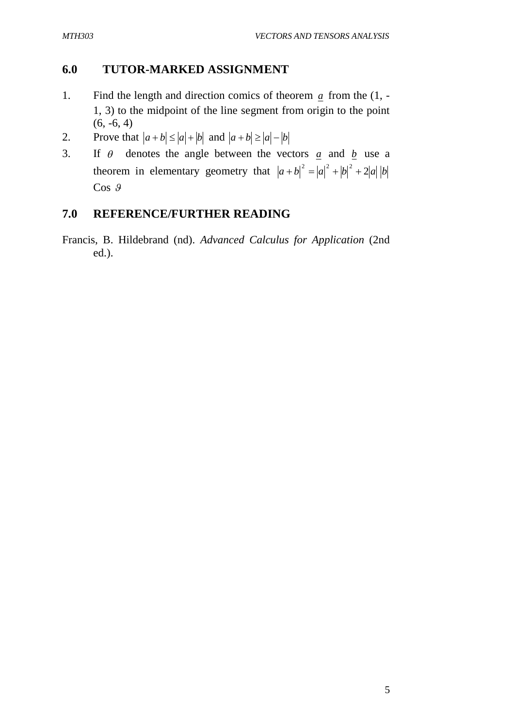## **6.0 TUTOR-MARKED ASSIGNMENT**

- 1. Find the length and direction comics of theorem *a* from the (1, 1, 3) to the midpoint of the line segment from origin to the point  $(6, -6, 4)$
- 2. Prove that  $|a + b| \le |a| + |b|$  and  $|a + b| \ge |a| |b|$
- 3. If  $\theta$  denotes the angle between the vectors  $\alpha$  and  $\beta$  use a theorem in elementary geometry that  $|a+b|^2 = |a|^2 + |b|^2 + 2|a||b$  $\cos \theta$

## **7.0 REFERENCE/FURTHER READING**

Francis, B. Hildebrand (nd). *Advanced Calculus for Application* (2nd ed.).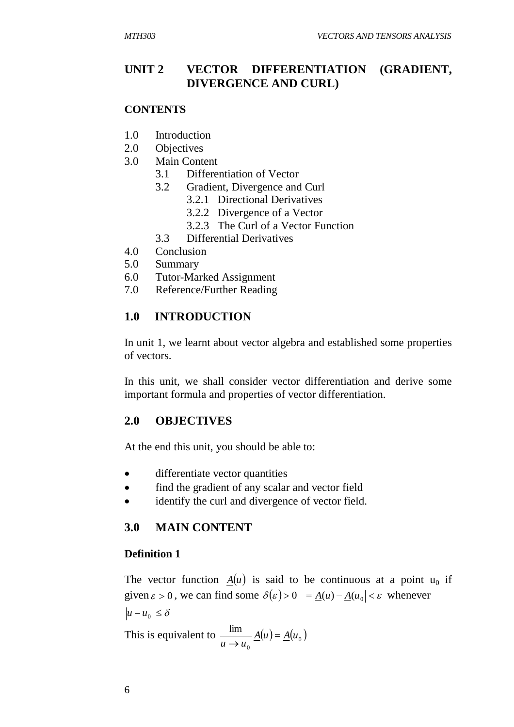## **UNIT 2 VECTOR DIFFERENTIATION (GRADIENT, DIVERGENCE AND CURL)**

#### **CONTENTS**

- 1.0 Introduction
- 2.0 Objectives
- 3.0 Main Content
	- 3.1 Differentiation of Vector
	- 3.2 Gradient, Divergence and Curl
		- 3.2.1 Directional Derivatives
		- 3.2.2 Divergence of a Vector
		- 3.2.3 The Curl of a Vector Function
	- 3.3 Differential Derivatives
- 4.0 Conclusion
- 5.0 Summary
- 6.0 Tutor-Marked Assignment
- 7.0 Reference/Further Reading

## **1.0 INTRODUCTION**

In unit 1, we learnt about vector algebra and established some properties of vectors.

In this unit, we shall consider vector differentiation and derive some important formula and properties of vector differentiation.

## **2.0 OBJECTIVES**

At the end this unit, you should be able to:

- differentiate vector quantities
- find the gradient of any scalar and vector field
- identify the curl and divergence of vector field.

## **3.0 MAIN CONTENT**

#### **Definition 1**

The vector function  $A(u)$  is said to be continuous at a point  $u_0$  if given  $\varepsilon > 0$ , we can find some  $\delta(\varepsilon) > 0 = |\underline{A}(u) - \underline{A}(u_0)| < \varepsilon$  whenever  $|u - u_0| \leq \delta$ 

This is equivalent to  $\frac{m}{\sqrt{2\pi}} \underline{A}(u) = \underline{A}(u_0)$  $\mathbf{0}$  $\frac{\lim}{A(u)} = \underline{A}(u)$  $u \rightarrow u$  $=$  $\rightarrow$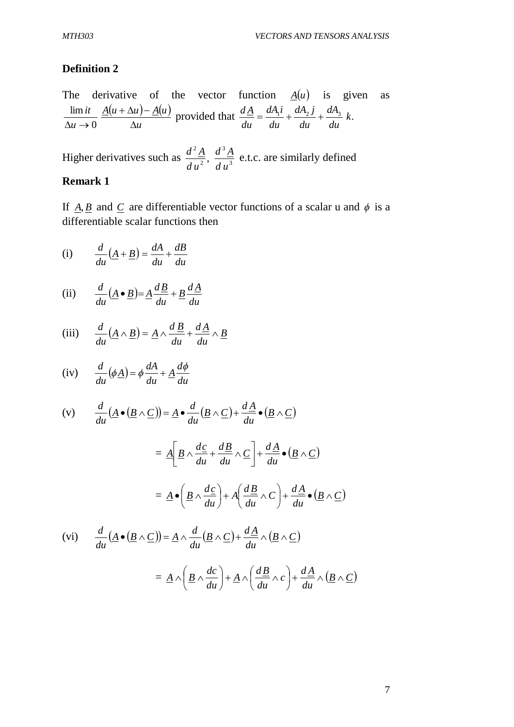## **Definition 2**

The derivative of the vector function 
$$
\underline{A}(u)
$$
 is given as  
\n
$$
\frac{\lim it}{\Delta u \to 0} \frac{\underline{A}(u + \Delta u) - \underline{A}(u)}{\Delta u}
$$
 provided that  $\frac{d\underline{A}}{du} = \frac{dA_1i}{du} + \frac{dA_2j}{du} + \frac{dA_3}{du}k$ .

Higher derivatives such as  $\frac{a}{4}$ ,  $\frac{1}{4}$ ,  $\frac{3}{4}$ 3 2 2 , *d u*  $d^3\underline{A}$ *d u*  $\frac{d^2A}{dx^2}$ ,  $\frac{d^3A}{dx^3}$  e.t.c. are similarly defined

## **Remark 1**

If  $\underline{A}, \underline{B}$  and  $\underline{C}$  are differentiable vector functions of a scalar u and  $\phi$  is a differentiable scalar functions then

(i) 
$$
\frac{d}{du}(\underline{A} + \underline{B}) = \frac{dA}{du} + \frac{dB}{du}
$$

(ii) 
$$
\frac{d}{du}(\underline{A} \bullet \underline{B}) = \underline{A} \frac{d\underline{B}}{du} + \underline{B} \frac{d\underline{A}}{du}
$$

(iii) 
$$
\frac{d}{du}(\underline{A} \wedge \underline{B}) = \underline{A} \wedge \frac{d\underline{B}}{du} + \frac{d\underline{A}}{du} \wedge \underline{B}
$$

(iv) 
$$
\frac{d}{du}(\phi \underline{A}) = \phi \frac{dA}{du} + \underline{A} \frac{d\phi}{du}
$$

(v) 
$$
\frac{d}{du}(\underline{A} \bullet (\underline{B} \wedge \underline{C})) = \underline{A} \bullet \frac{d}{du}(\underline{B} \wedge \underline{C}) + \frac{d\underline{A}}{du} \bullet (\underline{B} \wedge \underline{C})
$$

$$
= \underline{A} \left[ \underline{B} \wedge \frac{d\underline{c}}{du} + \frac{d\underline{B}}{du} \wedge \underline{C} \right] + \frac{d\underline{A}}{du} \bullet (\underline{B} \wedge \underline{C})
$$

$$
= \underline{A} \bullet \left( \underline{B} \wedge \frac{d\underline{c}}{du} \right) + A \left( \frac{d\underline{B}}{du} \wedge \underline{C} \right) + \frac{d\underline{A}}{du} \bullet (\underline{B} \wedge \underline{C})
$$

$$
\begin{aligned} \text{(vi)} \qquad & \frac{d}{du} \left( \underline{A} \bullet (\underline{B} \wedge \underline{C}) \right) = \underline{A} \wedge \frac{d}{du} \left( \underline{B} \wedge \underline{C} \right) + \frac{d\underline{A}}{du} \wedge \left( \underline{B} \wedge \underline{C} \right) \\ &= \underline{A} \wedge \left( \underline{B} \wedge \frac{dc}{du} \right) + \underline{A} \wedge \left( \frac{d\underline{B}}{du} \wedge c \right) + \frac{d\underline{A}}{du} \wedge \left( \underline{B} \wedge \underline{C} \right) \end{aligned}
$$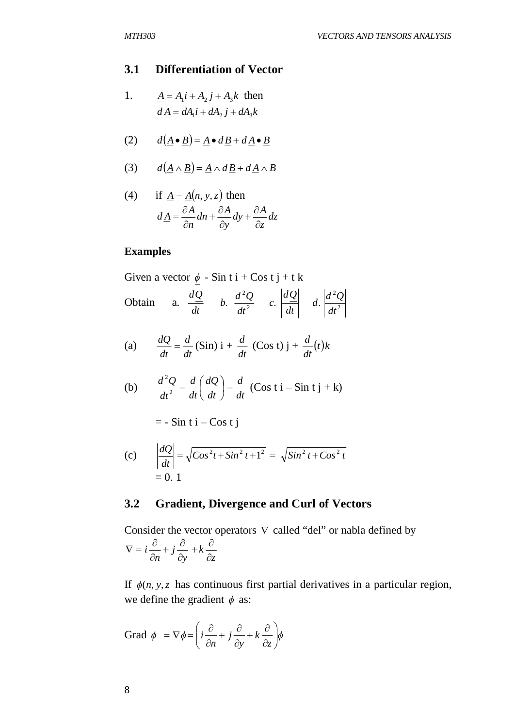#### **3.1 Differentiation of Vector**

1.  $\underline{A} = A_1 i + A_2 j + A_3 k$  then  $dA = dA_1 i + dA_2 j + dA_3 k$ 

(2) 
$$
d(\underline{A} \bullet \underline{B}) = \underline{A} \bullet d\underline{B} + d\underline{A} \bullet \underline{B}
$$

$$
(3) \qquad d(\underline{A} \wedge \underline{B}) = \underline{A} \wedge d\underline{B} + d\underline{A} \wedge B
$$

(4) if 
$$
\underline{A} = \underline{A}(n, y, z)
$$
 then  

$$
d\underline{A} = \frac{\partial \underline{A}}{\partial n} dn + \frac{\partial \underline{A}}{\partial y} dy + \frac{\partial \underline{A}}{\partial z} dz
$$

## **Examples**

Given a vector  $\phi$  - Sin t i + Cos t j + t k Obtain a.  $\frac{d\mathcal{L}}{dt}$  b.  $\frac{d\mathcal{L}}{dt^2}$  c.  $\frac{d^2\mathcal{L}}{dt^2}$  d.  $\frac{d^2\mathcal{L}}{dt^2}$ 2 2 2  $c. \frac{a}{1}$   $c. \frac{b}{1}$  d. *dt*  $d \cdot \left| \frac{d^2 Q}{d \cdot q} \right|$ *dt dQ c dt* b.  $\frac{d^2Q}{dx^2}$ *dt dQ*

(a) 
$$
\frac{dQ}{dt} = \frac{d}{dt} (\text{Sin}) \mathbf{i} + \frac{d}{dt} (\text{Cos } t) \mathbf{j} + \frac{d}{dt} (t) \mathbf{k}
$$

(b) 
$$
\frac{d^2Q}{dt^2} = \frac{d}{dt} \left(\frac{dQ}{dt}\right) = \frac{d}{dt} \left(\text{Cos } t\text{ i} - \text{Sin } t\text{ j} + \text{k}\right)
$$

$$
= -\sin t \, i - \cos t \, j
$$

(c) 
$$
\left| \frac{dQ}{dt} \right| = \sqrt{Cos^2 t + Sin^2 t + 1^2} = \sqrt{Sin^2 t + Cos^2 t} = 0.1
$$

## **3.2 Gradient, Divergence and Curl of Vectors**

Consider the vector operators  $\nabla$  called "del" or nabla defined by *z k y j n i*  $\partial$  $+k\frac{\partial}{\partial x}$  $\partial$  $+j\frac{\partial}{\partial}$  $\partial$  $\nabla = i \frac{\partial}{\partial \overline{\partial}}$ 

If  $\phi(n, y, z)$  has continuous first partial derivatives in a particular region, we define the gradient  $\phi$  as:

$$
\text{Grad } \phi = \nabla \phi = \left( i \frac{\partial}{\partial n} + j \frac{\partial}{\partial y} + k \frac{\partial}{\partial z} \right) \phi
$$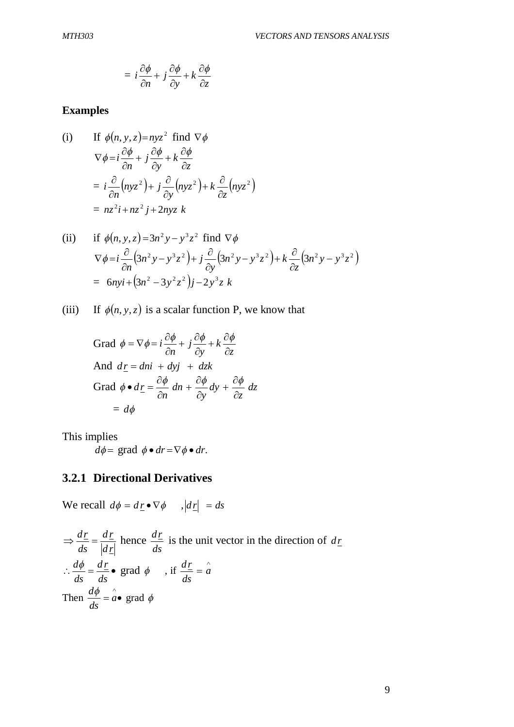$$
= i \frac{\partial \phi}{\partial n} + j \frac{\partial \phi}{\partial y} + k \frac{\partial \phi}{\partial z}
$$

## **Examples**

(i) If 
$$
\phi(n, y, z) = nyz^2
$$
 find  $\nabla \phi$   
\n
$$
\nabla \phi = i \frac{\partial \phi}{\partial n} + j \frac{\partial \phi}{\partial y} + k \frac{\partial \phi}{\partial z}
$$
\n
$$
= i \frac{\partial}{\partial n} (nyz^2) + j \frac{\partial}{\partial y} (nyz^2) + k \frac{\partial}{\partial z} (nyz^2)
$$
\n
$$
= nz^2 i + nz^2 j + 2nyz k
$$

(ii) if 
$$
\phi(n, y, z) = 3n^2 y - y^3 z^2
$$
 find  $\nabla \phi$   
\n
$$
\nabla \phi = i \frac{\partial}{\partial n} (3n^2 y - y^3 z^2) + j \frac{\partial}{\partial y} (3n^2 y - y^3 z^2) + k \frac{\partial}{\partial z} (3n^2 y - y^3 z^2)
$$
\n
$$
= 6nyi + (3n^2 - 3y^2 z^2)j - 2y^3 z k
$$

(iii) If  $\phi(n, y, z)$  is a scalar function P, we know that

Grad 
$$
\phi = \nabla \phi = i \frac{\partial \phi}{\partial n} + j \frac{\partial \phi}{\partial y} + k \frac{\partial \phi}{\partial z}
$$
  
\nAnd  $dz = dni + dyj + dzk$   
\nGrad  $\phi \bullet d\underline{r} = \frac{\partial \phi}{\partial n} dn + \frac{\partial \phi}{\partial y} dy + \frac{\partial \phi}{\partial z} dz$   
\n $= d\phi$ 

This implies

 $d\phi = \text{grad } \phi \bullet dr = \nabla \phi \bullet dr.$ 

# **3.2.1 Directional Derivatives**

We recall  $d\phi = d\underline{r} \bullet \nabla \phi$ ,  $|d\underline{r}| = ds$ 

$$
\Rightarrow \frac{d\underline{r}}{ds} = \frac{d\underline{r}}{|d\underline{r}|} \text{ hence } \frac{d\underline{r}}{ds} \text{ is the unit vector in the direction of } d\underline{r}
$$
  
\n
$$
\therefore \frac{d\phi}{ds} = \frac{d\underline{r}}{ds} \bullet \text{ grad } \phi \qquad \text{, if } \frac{d\underline{r}}{ds} = \hat{a}
$$
  
\nThen  $\frac{d\phi}{ds} = \hat{a} \bullet \text{ grad } \phi$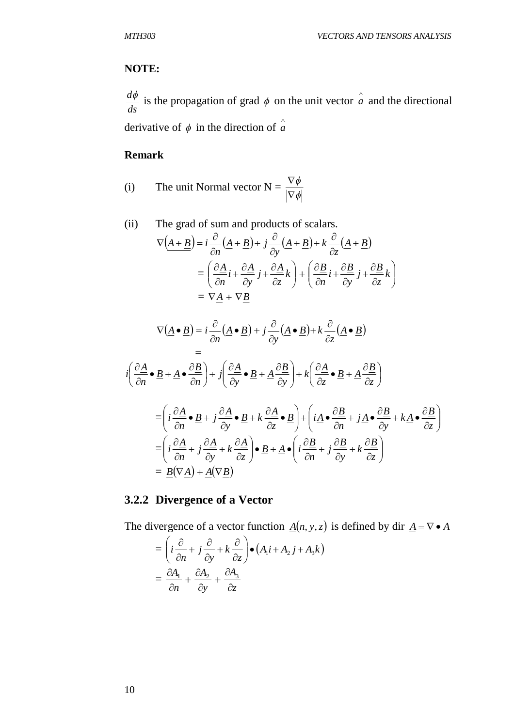## **NOTE:**

*ds*  $\frac{d\phi}{dt}$  is the propagation of grad  $\phi$  on the unit vector  $\hat{a}$  and the directional

derivative of  $\phi$  in the direction of  $\hat{a}$ 

## **Remark**

(i) The unit Normal vector 
$$
N = \frac{\nabla \phi}{|\nabla \phi|}
$$

(ii) The grad of sum and products of scalars.  
\n
$$
\nabla \left( \underline{A + \underline{B}} \right) = i \frac{\partial}{\partial n} \left( \underline{A} + \underline{B} \right) + j \frac{\partial}{\partial y} \left( \underline{A} + \underline{B} \right) + k \frac{\partial}{\partial z} \left( \underline{A} + \underline{B} \right)
$$
\n
$$
= \left( \frac{\partial \underline{A}}{\partial n} i + \frac{\partial \underline{A}}{\partial y} j + \frac{\partial \underline{A}}{\partial z} k \right) + \left( \frac{\partial \underline{B}}{\partial n} i + \frac{\partial \underline{B}}{\partial y} j + \frac{\partial \underline{B}}{\partial z} k \right)
$$
\n
$$
= \nabla \underline{A} + \nabla \underline{B}
$$

$$
\nabla (\underline{A} \cdot \underline{B}) = i \frac{\partial}{\partial n} (\underline{A} \cdot \underline{B}) + j \frac{\partial}{\partial y} (\underline{A} \cdot \underline{B}) + k \frac{\partial}{\partial z} (\underline{A} \cdot \underline{B})
$$
  
\n
$$
=
$$
  
\n
$$
i \left( \frac{\partial \underline{A}}{\partial n} \cdot \underline{B} + \underline{A} \cdot \frac{\partial \underline{B}}{\partial n} \right) + j \left( \frac{\partial \underline{A}}{\partial y} \cdot \underline{B} + \underline{A} \frac{\partial \underline{B}}{\partial y} \right) + k \left( \frac{\partial \underline{A}}{\partial z} \cdot \underline{B} + \underline{A} \frac{\partial \underline{B}}{\partial z} \right)
$$
  
\n
$$
= \left( i \frac{\partial \underline{A}}{\partial n} \cdot \underline{B} + j \frac{\partial \underline{A}}{\partial y} \cdot \underline{B} + k \frac{\partial \underline{A}}{\partial z} \cdot \underline{B} \right) + \left( i \underline{A} \cdot \frac{\partial \underline{B}}{\partial n} + j \underline{A} \cdot \frac{\partial \underline{B}}{\partial y} + k \underline{A} \cdot \frac{\partial \underline{B}}{\partial z} \right)
$$
  
\n
$$
= \left( i \frac{\partial \underline{A}}{\partial n} + j \frac{\partial \underline{A}}{\partial y} + k \frac{\partial \underline{A}}{\partial z} \right) \cdot \underline{B} + \underline{A} \cdot \left( i \frac{\partial \underline{B}}{\partial n} + j \frac{\partial \underline{B}}{\partial y} + k \frac{\partial \underline{B}}{\partial z} \right)
$$
  
\n
$$
= \underline{B} (\nabla \underline{A}) + \underline{A} (\nabla \underline{B})
$$

# **3.2.2 Divergence of a Vector**

The divergence of a vector function  $\underline{A}(n, y, z)$  is defined by dir  $\underline{A} = \nabla \cdot A$ 

$$
= \left(i\frac{\partial}{\partial n} + j\frac{\partial}{\partial y} + k\frac{\partial}{\partial z}\right) \bullet \left(A_1 i + A_2 j + A_3 k\right)
$$

$$
= \frac{\partial A_1}{\partial n} + \frac{\partial A_2}{\partial y} + \frac{\partial A_3}{\partial z}
$$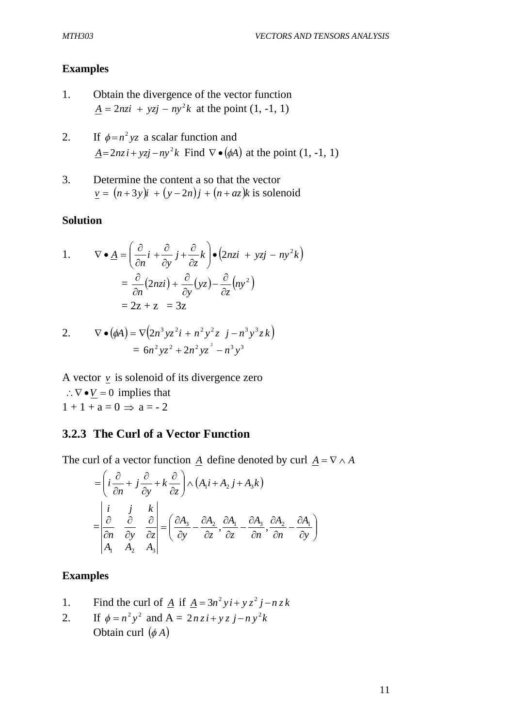#### **Examples**

- 1. Obtain the divergence of the vector function  $A = 2nz^i + yz^j - ny^2k$  at the point  $(1, -1, 1)$
- 2. If  $\phi = n^2yz$  a scalar function and  $\underline{A} = 2nz + yzj - ny^2k$  Find  $\nabla \bullet (\phi A)$  at the point  $(1, -1, 1)$
- 3. Determine the content a so that the vector  $v = (n+3y)i + (y-2n)j + (n + az)k$  is solenoid

#### **Solution**

1. 
$$
\nabla \bullet \underline{A} = \left(\frac{\partial}{\partial n}i + \frac{\partial}{\partial y}j + \frac{\partial}{\partial z}k\right) \bullet \left(2nzi + yzj - ny^2k\right)
$$

$$
= \frac{\partial}{\partial n}(2nzi) + \frac{\partial}{\partial y}(yz) - \frac{\partial}{\partial z}(ny^2)
$$

$$
= 2z + z = 3z
$$

2. 
$$
\nabla \bullet (\phi A) = \nabla (2n^3 yz^2 i + n^2 y^2 z j - n^3 y^3 z k)
$$

$$
= 6n^2 yz^2 + 2n^2 yz^2 - n^3 y^3
$$

A vector  $\nu$  is solenoid of its divergence zero  $\therefore \nabla \bullet V = 0$  implies that  $1+1+a=0 \Rightarrow a=-2$ 

## **3.2.3 The Curl of a Vector Function**

The curl of a vector function *A* define denoted by curl  $A = \nabla \wedge A$ 

$$
= \left(i\frac{\partial}{\partial n} + j\frac{\partial}{\partial y} + k\frac{\partial}{\partial z}\right) \wedge \left(A_1 i + A_2 j + A_3 k\right)
$$
  

$$
= \begin{vmatrix} i & j & k \\ \frac{\partial}{\partial n} & \frac{\partial}{\partial y} & \frac{\partial}{\partial z} \\ A_1 & A_2 & A_3 \end{vmatrix} = \left(\frac{\partial A_3}{\partial y} - \frac{\partial A_2}{\partial z}, \frac{\partial A_1}{\partial z} - \frac{\partial A_3}{\partial n}, \frac{\partial A_2}{\partial n} - \frac{\partial A_1}{\partial y}\right)
$$

## **Examples**

- 1. Find the curl of  $\underline{A}$  if  $\underline{A} = 3n^2 y i + y z^2 j n z k$
- 2. If  $\phi = n^2 y^2$  and  $A = 2nzi + yz j ny^2k$ Obtain curl  $(\phi A)$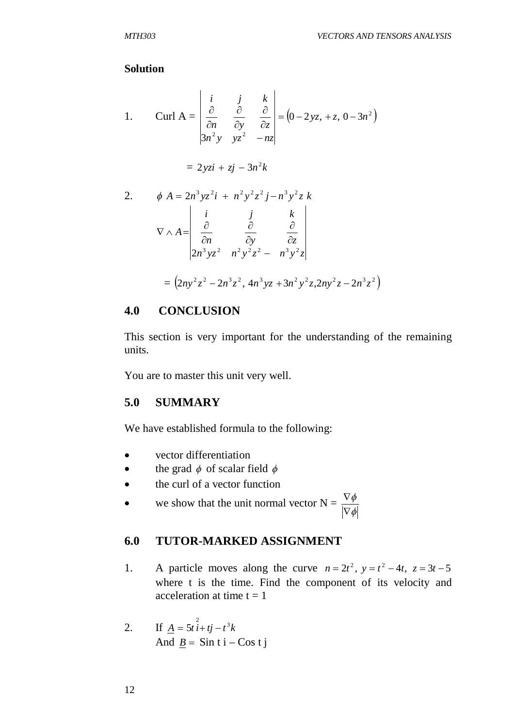#### **Solution**

1. Curl A = 
$$
\begin{vmatrix} i & j & k \ \frac{\partial}{\partial n} & \frac{\partial}{\partial y} & \frac{\partial}{\partial z} \\ 3n^2 y & yz^2 & -nz \end{vmatrix} = (0 - 2yz, +z, 0 - 3n^2)
$$

$$
= 2yzi + zj - 3n^2k
$$

2. 
$$
\phi A = 2n^3 yz^2 i + n^2 y^2 z^2 j - n^3 y^2 z k
$$
  
\n
$$
\nabla \wedge A = \begin{vmatrix}\n i & j & k \\
 \frac{\partial}{\partial n} & \frac{\partial}{\partial y} & \frac{\partial}{\partial z} \\
 2n^3 yz^2 & n^2 y^2 z^2 - n^3 y^2 z\n\end{vmatrix}
$$
  
\n
$$
= (2ny^2z^2 - 2n^3z^2, 4n^3 yz + 3n^2 y^2 z, 2ny^2z - 2n^3 z^2)
$$

## **4.0 CONCLUSION**

This section is very important for the understanding of the remaining units.

You are to master this unit very well.

## **5.0 SUMMARY**

We have established formula to the following:

- vector differentiation
- the grad  $\phi$  of scalar field  $\phi$
- the curl of a vector function
- we show that the unit normal vector  $N =$  $\phi$  $\phi$  $\nabla$  $\nabla$

## **6.0 TUTOR-MARKED ASSIGNMENT**

1. A particle moves along the curve  $n = 2t^2$ ,  $y = t^2 - 4t$ ,  $z = 3t - 5$ where t is the time. Find the component of its velocity and acceleration at time  $t = 1$ 

2. If 
$$
\underline{A} = 5t \hat{i} + t\hat{j} - t^3k
$$
  
And  $\underline{B} = \text{Sin ti} - \text{Cos ti}$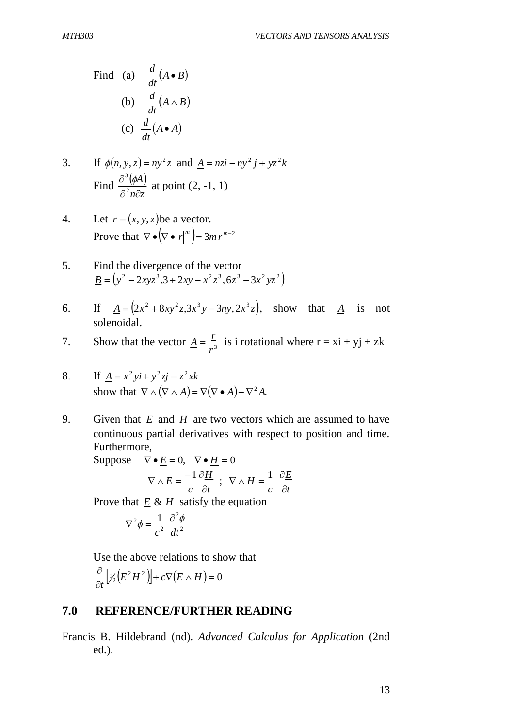Find (a) 
$$
\frac{d}{dt}(\underline{A} \cdot \underline{B})
$$
  
\n(b)  $\frac{d}{dt}(\underline{A} \wedge \underline{B})$   
\n(c)  $\frac{d}{dt}(\underline{A} \cdot \underline{A})$ 

3. If 
$$
\phi(n, y, z) = ny^2z
$$
 and  $\underline{A} = nzi - ny^2j + yz^2k$   
Find  $\frac{\partial^3(\phi A)}{\partial^2 n \partial z}$  at point (2, -1, 1)

- 4. Let  $r = (x, y, z)$  be a vector. Prove that  $\nabla \bullet [\nabla \bullet |r|^{m}] = 3mr^{m-2}$
- 5. Find the divergence of the vector  $\underline{B} = (y^2 - 2xyz^3, 3 + 2xy - x^2z^3, 6z^3 - 3x^2yz^2)$
- 6. If  $\underline{A} = (2x^2 + 8xy^2z, 3x^3y 3ny, 2x^3z)$ , show that  $\underline{A}$  is not solenoidal.
- 7. Show that the vector <u> $A = \frac{L}{r^3}$ </u>  $\underline{A} = \frac{r}{\lambda}$  is i rotational where  $r = x\mathbf{i} + y\mathbf{j} + z\mathbf{k}$

8. If 
$$
\underline{A} = x^2 yi + y^2 zj - z^2 xk
$$
  
\nshow that  $\nabla \wedge (\nabla \wedge A) = \nabla (\nabla \bullet A) - \nabla^2 A$ .

9. Given that *E* and *H* are two vectors which are assumed to have continuous partial derivatives with respect to position and time. Furthermore,

Suppose  $\nabla \cdot \mathbf{E} = 0$ ,  $\nabla \cdot \mathbf{H} = 0$ 

$$
\nabla \wedge \underline{E} = \frac{-1}{c} \frac{\partial \underline{H}}{\partial t} \; ; \; \nabla \wedge \underline{H} = \frac{1}{c} \frac{\partial \underline{E}}{\partial t}
$$

Prove that  $E \& H$  satisfy the equation

$$
\nabla^2 \phi = \frac{1}{c^2} \frac{\partial^2 \phi}{dt^2}
$$

Use the above relations to show that

$$
\frac{\partial}{\partial t}\Big[\frac{1}{2}\Big(E^2H^2\Big)\Big]+c\nabla\Big(\underline{E}\wedge\underline{H}\Big)=0
$$

## **7.0 REFERENCE/FURTHER READING**

Francis B. Hildebrand (nd). *Advanced Calculus for Application* (2nd ed.).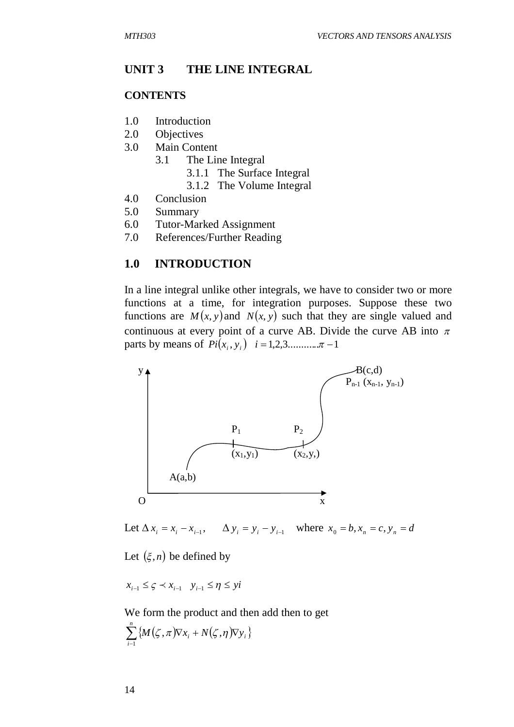#### **UNIT 3 THE LINE INTEGRAL**

#### **CONTENTS**

- 1.0 Introduction
- 2.0 Objectives
- 3.0 Main Content
	- 3.1 The Line Integral
		- 3.1.1 The Surface Integral
		- 3.1.2 The Volume Integral
- 4.0 Conclusion
- 5.0 Summary
- 6.0 Tutor-Marked Assignment
- 7.0 References/Further Reading

#### **1.0 INTRODUCTION**

In a line integral unlike other integrals, we have to consider two or more functions at a time, for integration purposes. Suppose these two functions are  $M(x, y)$  and  $N(x, y)$  such that they are single valued and continuous at every point of a curve AB. Divide the curve AB into  $\pi$ parts by means of  $Pi(x_i, y_i)$   $i = 1, 2, 3, \dots, n - 1$ 



Let  $\Delta x_i = x_i - x_{i-1}$ ,  $x_i = x_i - x_{i-1}$ ,  $\Delta y_i = y_i - y_{i-1}$  where  $x_0 = b, x_n = c, y_n = d$ 

Let  $(\xi, n)$  be defined by

$$
x_{i-1} \leq \varsigma \prec x_{i-1} \quad y_{i-1} \leq \eta \leq yi
$$

We form the product and then add then to get

$$
\sum_{i=1}^n \left\{ M(\zeta,\pi) \nabla x_i + N(\zeta,\eta) \nabla y_i \right\}
$$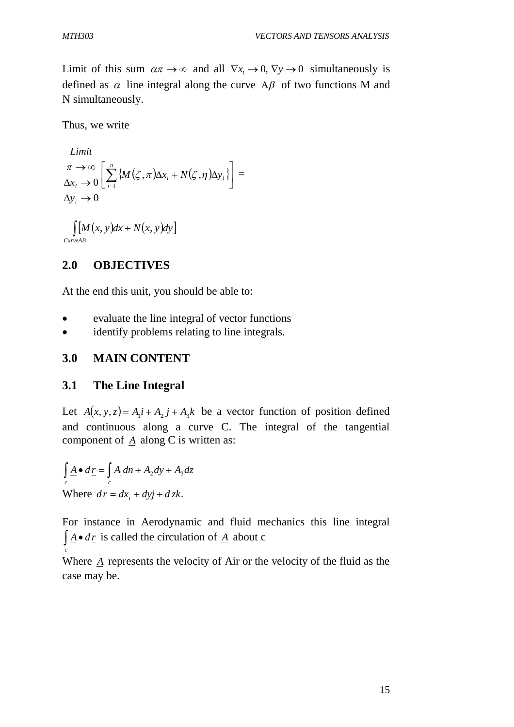Limit of this sum  $\alpha \pi \to \infty$  and all  $\nabla x_i \to 0$ ,  $\nabla y \to 0$  simultaneously is defined as  $\alpha$  line integral along the curve A $\beta$  of two functions M and N simultaneously.

Thus, we write

 $\Delta y_i \to 0$  $\Delta x_i \rightarrow 0$  $\rightarrow \infty$ *i x Limit*  $\pi \to \infty \left[ \sum_{i=1}^n \{ M(\zeta, \pi) \Delta x_i + N(\zeta, \eta) \Delta y_i \} \right]$  $\overline{\phantom{a}}$  $\overline{\phantom{a}}$  $\Bigg[\sum_{i=1}^n\big\{{M}\big(\zeta,\pi\big)\!\Delta x_i+N\big(\zeta,\eta\big)\!\Delta$ *n i*  $M(\zeta, \pi) \Delta x_i + N(\zeta, \eta) \Delta y_i$ 1  $\left|\zeta,\pi\right\rangle \Delta x_i + N(\zeta,\eta) \Delta y_i\}$  =

$$
\int\limits_{CurveAB} [M(x, y)dx + N(x, y)dy]
$$

#### **2.0 OBJECTIVES**

At the end this unit, you should be able to:

- evaluate the line integral of vector functions
- identify problems relating to line integrals.

#### **3.0 MAIN CONTENT**

#### **3.1 The Line Integral**

Let  $\underline{A}(x, y, z) = A_1 i + A_2 j + A_3 k$  be a vector function of position defined and continuous along a curve C. The integral of the tangential component of *A* along C is written as:

$$
\int_{c} \underline{A} \bullet d\underline{r} = \int_{c} A_{1} dn + A_{2} dy + A_{3} dz
$$
  
Where  $d\underline{r} = dx_{i} + dyj + d\underline{z}k$ .

*c*

For instance in Aerodynamic and fluid mechanics this line integral  $\int \underline{A} \cdot d\underline{r}$  is called the circulation of  $\underline{A}$  about c

Where *A* represents the velocity of Air or the velocity of the fluid as the case may be.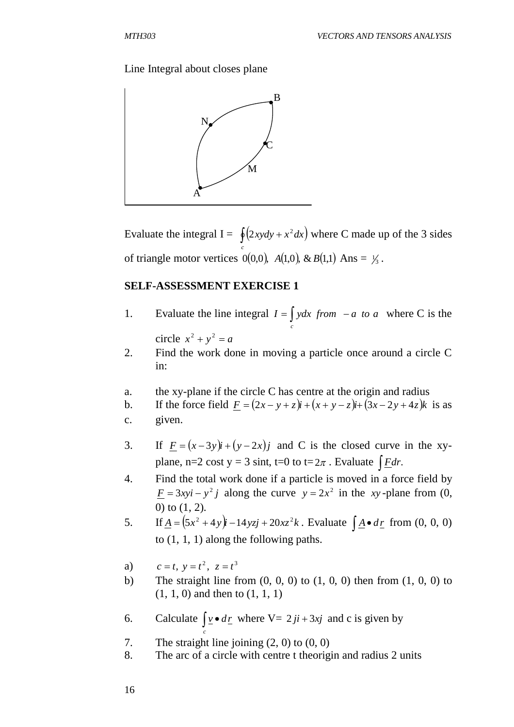## Line Integral about closes plane



Evaluate the integral  $I = \oint (2xy dy + x^2 dx)$  where C made up of the 3 sides *c* of triangle motor vertices  $0(0,0)$ ,  $A(1,0)$ ,  $\& B(1,1)$  Ans =  $\frac{1}{3}$ .

## **SELF-ASSESSMENT EXERCISE 1**

- 1. Evaluate the line integral  $I = \int ydx$  *from*  $-a$  *to a* where C is the *c* circle  $x^2 + y^2 = a$
- 2. Find the work done in moving a particle once around a circle C in:
- a. the xy-plane if the circle C has centre at the origin and radius
- b. If the force field  $F = (2x y + z)\mathbf{i} + (x + y z)\mathbf{i} + (3x 2y + 4z)\mathbf{k}$  is as
- c. given.
- 3. If  $F = (x-3y)i + (y-2x)j$  and C is the closed curve in the xyplane, n=2 cost  $y = 3 \sin t$ , t=0 to t=2 $\pi$ . Evaluate  $\int$  *Fdr*.
- 4. Find the total work done if a particle is moved in a force field by  $\underline{F} = 3xyi - y^2j$  along the curve  $y = 2x^2$  in the *xy*-plane from (0, 0) to (1, 2).
- 5. If  $\underline{A} = (5x^2 + 4y)\hat{i} 14yz\hat{j} + 20xz^2\hat{k}$ . Evaluate  $\int \underline{A} \cdot d\underline{r}$  from (0, 0, 0) to (1, 1, 1) along the following paths.
- a)  $c = t, y = t^2, z = t^3$
- b) The straight line from  $(0, 0, 0)$  to  $(1, 0, 0)$  then from  $(1, 0, 0)$  to (1, 1, 0) and then to (1, 1, 1)
- 6. Calculate  $\nu \cdot d\underline{r}$ *c*  $\int \underline{v} \cdot d\underline{r}$  where  $V = 2 j i + 3 x j$  and c is given by
- 7. The straight line joining (2, 0) to (0, 0)
- 8. The arc of a circle with centre t theorigin and radius 2 units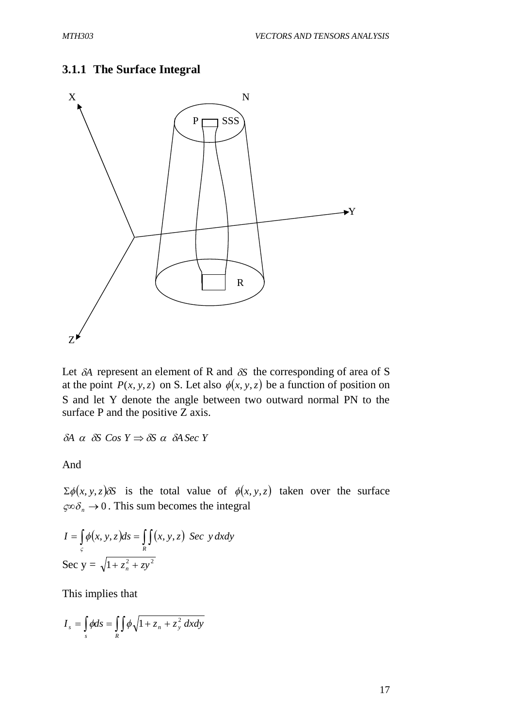## **3.1.1 The Surface Integral**



Let  $\delta A$  represent an element of R and  $\delta S$  the corresponding of area of S at the point  $P(x, y, z)$  on S. Let also  $\phi(x, y, z)$  be a function of position on S and let Y denote the angle between two outward normal PN to the surface P and the positive Z axis.

 $\delta A \ \alpha \ \delta S \ \textit{Cos} \ Y \Rightarrow \delta S \ \alpha \ \delta A \ \textit{Sec} \ Y$ 

And

 $\sum \phi(x, y, z) \delta S$  is the total value of  $\phi(x, y, z)$  taken over the surface  $\varsigma \infty \delta_n \to 0$ . This sum becomes the integral

$$
I = \int_{c} \phi(x, y, z) ds = \int_{R} \int (x, y, z) \sec y dx dy
$$
  
Sec y =  $\sqrt{1 + z_n^2 + z y^2}$ 

This implies that

$$
I_s = \int_s \phi ds = \int_R \phi \sqrt{1 + z_n + z_y^2} \, dx dy
$$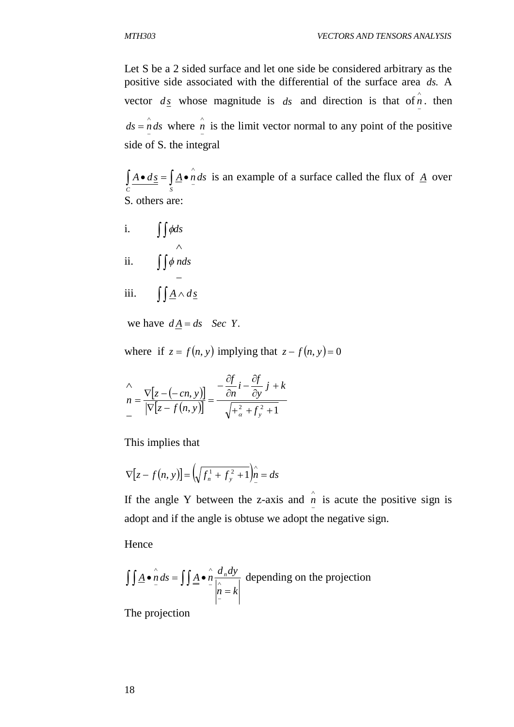Let S be a 2 sided surface and let one side be considered arbitrary as the positive side associated with the differential of the surface area *ds*. A vector  $d_{\underline{s}}$  whose magnitude is  $ds$  and direction is that of  $\hat{n}$  $\frac{n}{a}$ . then  $ds = \hat{n} ds$  $=\hat{n} ds$  where  $\hat{n}$  $n_{\text{r}}$  is the limit vector normal to any point of the positive side of S. the integral

 $A \bullet d\underline{s} = | \underline{A} \bullet n ds$ *C S*  $\wedge$  $\int A \cdot d\underline{s} = \int A \cdot n \, ds$  is an example of a surface called the flux of <u>*A*</u> over S. others are:

i.  $\iint \phi ds$ ii.  $\int \int \phi \, n ds$ - $\wedge$  $\phi$ iii.  $\iint \underline{A} \wedge d\underline{s}$ 

we have  $dA = ds$  *Sec Y*.

where if  $z = f(n, y)$  implying that  $z - f(n, y) = 0$ 

$$
\begin{aligned}\n&\wedge \\
&n = \frac{\nabla [z - (-cn, y)]}{\left| \nabla [z - f(n, y)] \right|} = \frac{-\frac{\partial f}{\partial n} i - \frac{\partial f}{\partial y} j + k}{\sqrt{ + \frac{2}{\alpha} + f_y^2 + 1}} \\
&= \frac{-\frac{\partial f}{\partial n} i - \frac{\partial f}{\partial y} j + k}{\sqrt{ + \frac{2}{\alpha} + f_y^2 + 1}}\n\end{aligned}
$$

This implies that

$$
\nabla [z - f(n, y)] = \left(\sqrt{f_n^1 + f_y^2 + 1}\right)_{-1}^{\hat{n}} = ds
$$

If the angle Y between the z-axis and  $\hat{n}$  is acute the positive sign is adopt and if the angle is obtuse we adopt the negative sign.

Hence

$$
\iint \underline{A} \cdot \hat{n} ds = \iint \underline{A} \cdot \hat{n} \frac{d_n dy}{\left| \hat{n} = k \right|}
$$
 depending on the projection

The projection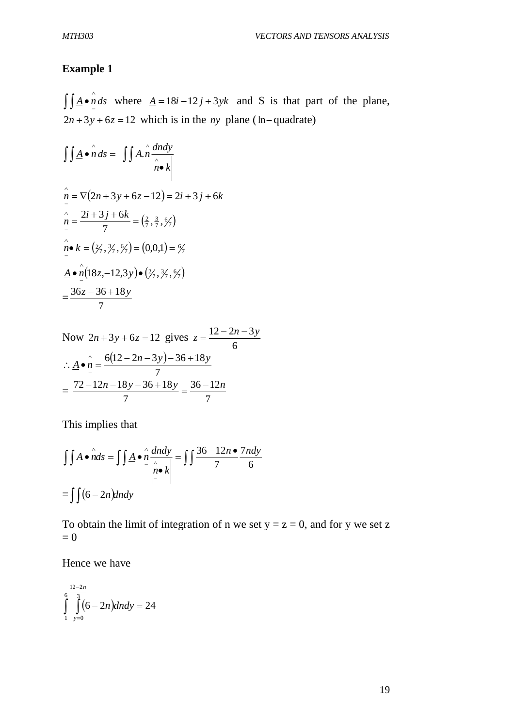# **Example 1**

 $\underline{A} \bullet \hat{n} ds$  $\iint_{-1}^{1} A \cdot n \, ds$  where  $A = 18i - 12j + 3yk$  and S is that part of the plane,  $2n + 3y + 6z = 12$  which is in the *ny* plane (ln-quadrate)

$$
\iint \underline{A} \cdot \hat{n} \, ds = \iint \underline{A} \cdot \hat{n} \frac{dndy}{|\hat{n} \cdot k|}
$$
  
\n
$$
\hat{n} = \nabla(2n + 3y + 6z - 12) = 2i + 3j + 6k
$$
  
\n
$$
\hat{n} = \frac{2i + 3j + 6k}{7} = \left(\frac{2}{7}, \frac{3}{7}, \frac{6}{7}\right)
$$
  
\n
$$
\hat{n} \cdot k = \left(\frac{2}{7}, \frac{3}{7}, \frac{6}{7}\right) = \left(0, 0, 1\right) = \frac{6}{7}
$$
  
\n
$$
\underline{A} \cdot \hat{n} \left(18z, -12, 3y\right) \cdot \left(\frac{2}{7}, \frac{3}{7}, \frac{6}{7}\right)
$$
  
\n
$$
= \frac{36z - 36 + 18y}{7}
$$

Now 
$$
2n + 3y + 6z = 12
$$
 gives  $z = \frac{12 - 2n - 3y}{6}$   
\n
$$
\therefore \underline{A} \cdot \hat{n} = \frac{6(12 - 2n - 3y) - 36 + 18y}{7}
$$
\n
$$
= \frac{72 - 12n - 18y - 36 + 18y}{7} = \frac{36 - 12n}{7}
$$

This implies that

$$
\iint A \cdot \hat{n} ds = \iint \underline{A} \cdot \hat{n} \frac{d n dy}{\left| \hat{n} \cdot \hat{k} \right|} = \iint \frac{36 - 12n \cdot 7n dy}{7}
$$

$$
= \iint (6 - 2n) d n dy
$$

To obtain the limit of integration of n we set  $y = z = 0$ , and for y we set z  $= 0$ 

Hence we have

$$
\int_{\frac{1}{y=0}}^{\frac{12-2n}{3}} (6-2n)dndy = 24
$$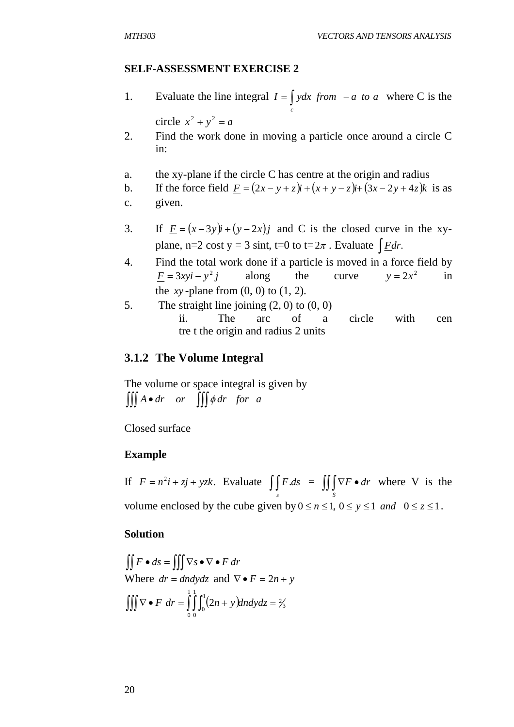#### **SELF-ASSESSMENT EXERCISE 2**

1. Evaluate the line integral  $I = \int ydx$  *from*  $-a$  *to a* where C is the *c*

circle  $x^2 + y^2 = a$ 

- 2. Find the work done in moving a particle once around a circle C in:
- a. the xy-plane if the circle C has centre at the origin and radius
- b. If the force field  $F = (2x y + z)\mathbf{i} + (x + y z)\mathbf{i} + (3x 2y + 4z)\mathbf{k}$  is as
- c. given.
- 3. If  $F = (x-3y)i + (y-2x)j$  and C is the closed curve in the xyplane, n=2 cost  $y = 3 \text{ sint, } t=0 \text{ to } t=2\pi$ . Evaluate  $\int E dr$ .
- 4. Find the total work done if a particle is moved in a force field by  $F = 3xyi - y^2j$  along the curve  $y = 2x^2$  $y = 2x^2$  in the  $xy$ -plane from  $(0, 0)$  to  $(1, 2)$ .
- 5. The straight line joining  $(2, 0)$  to  $(0, 0)$ ii. The arc of a circle with cen tre t the origin and radius 2 units

## **3.1.2 The Volume Integral**

The volume or space integral is given by  $\iiint \underline{A} \cdot dr$  *or*  $\iiint \phi dr$  *for a* 

Closed surface

#### **Example**

If  $F = n^2 i + zj + yzk$ . Evaluate  $\iiint_S F \, ds = \iiint_S \nabla F \cdot \mathbf{r}$ *S F dr* where V is the volume enclosed by the cube given by  $0 \le n \le 1$ ,  $0 \le y \le 1$  *and*  $0 \le z \le 1$ .

#### **Solution**

$$
\iint F \bullet ds = \iiint \nabla s \bullet \nabla \bullet F dr
$$
  
Where  $dr = dndydz$  and  $\nabla \bullet F = 2n + y$   

$$
\iiint \nabla \bullet F dr = \int_0^1 \int_0^1 (2n + y) dxdydz = \frac{2}{3}
$$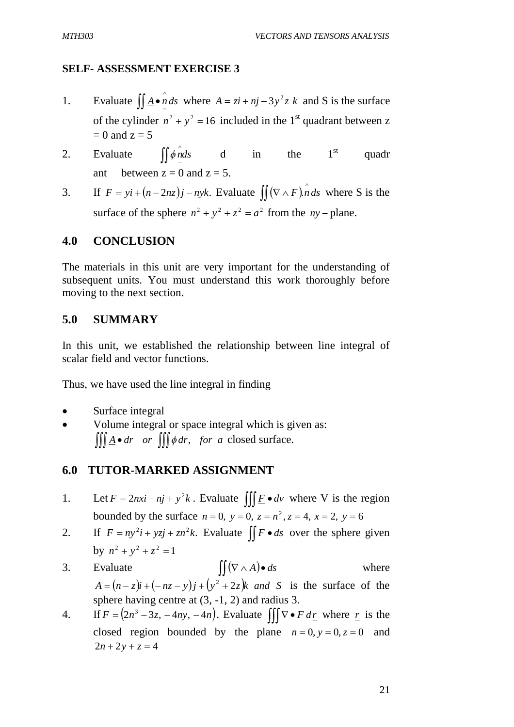## **SELF- ASSESSMENT EXERCISE 3**

- 1. Evaluate  $\iint_{\mathbf{A}} \mathbf{e} \, \hat{n} \, ds$  $\iint \underline{A} \cdot \underline{n} \, ds$  where  $A = z\hat{i} + \eta \hat{j} - 3y^2 z \hat{k}$  and S is the surface of the cylinder  $n^2 + y^2 = 16$  included in the 1<sup>st</sup> quadrant between z  $= 0$  and  $z = 5$
- 2. Evaluate  $\iint \phi \, d\phi$  d in the 1<sup>st</sup> quadr ant between  $z = 0$  and  $z = 5$ .
- 3. If  $F = yi + (n 2nz)j nyk$ . Evaluate  $\iint (\nabla \wedge F) \hat{n} ds$  where S is the surface of the sphere  $n^2 + y^2 + z^2 = a^2$  from the  $ny$ -plane.

#### **4.0 CONCLUSION**

The materials in this unit are very important for the understanding of subsequent units. You must understand this work thoroughly before moving to the next section.

#### **5.0 SUMMARY**

In this unit, we established the relationship between line integral of scalar field and vector functions.

Thus, we have used the line integral in finding

- Surface integral
- Volume integral or space integral which is given as:  $\iiint \underline{A} \cdot dr$  *or*  $\iiint \phi dr$ , *for a* closed surface.

## **6.0 TUTOR-MARKED ASSIGNMENT**

- 1. Let  $F = 2nxi nj + y^2k$ . Evaluate  $\iiint \underline{F} \cdot dv$  where V is the region bounded by the surface  $n = 0$ ,  $y = 0$ ,  $z = n^2$ ,  $z = 4$ ,  $x = 2$ ,  $y = 6$
- 2. If  $F = ny^2i + yzj + zn^2k$ . Evaluate  $\iint F \cdot ds$  over the sphere given by  $n^2 + y^2 + z^2 = 1$
- 3. Evaluate  $\iint (\nabla \wedge A) \cdot ds$  where  $A = (n - z)i + (-nz - y)j + (y^2 + 2z)k$  *and S* is the surface of the sphere having centre at (3, -1, 2) and radius 3.
- 4. If  $F = (2n^3 3z, -4ny, -4n)$ . Evaluate  $\iiint \nabla \cdot F d\underline{r}$  where  $\underline{r}$  is the closed region bounded by the plane  $n = 0$ ,  $y = 0$ ,  $z = 0$  and  $2n + 2y + z = 4$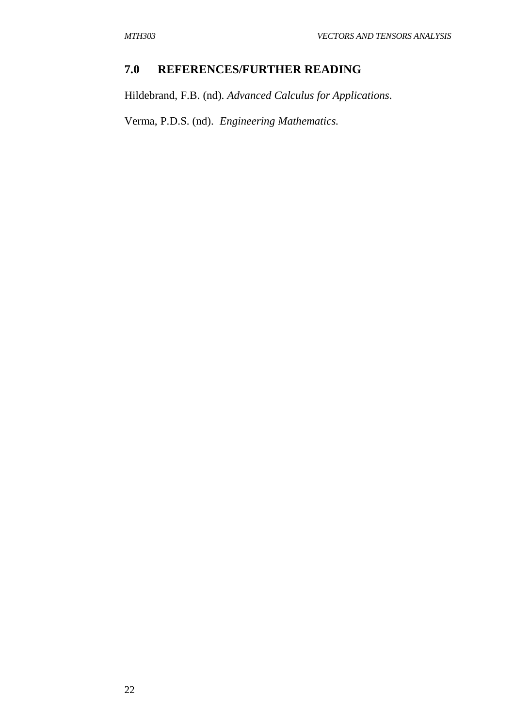# **7.0 REFERENCES/FURTHER READING**

Hildebrand, F.B. (nd). *Advanced Calculus for Applications*.

Verma, P.D.S. (nd). *Engineering Mathematics.*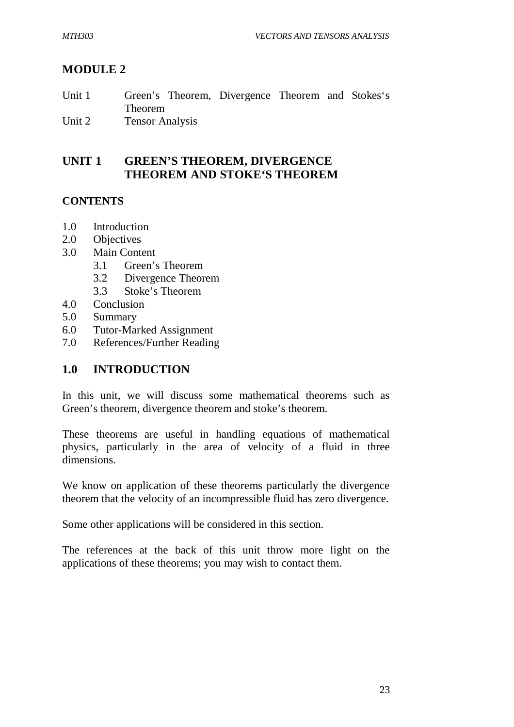# **MODULE 2**

| Unit 1 | Green's Theorem, Divergence Theorem and Stokes's |  |  |
|--------|--------------------------------------------------|--|--|
|        | Theorem                                          |  |  |
| Unit 2 | <b>Tensor Analysis</b>                           |  |  |

# **UNIT 1 GREEN'S THEOREM, DIVERGENCE THEOREM AND STOKE'S THEOREM**

## **CONTENTS**

- 1.0 Introduction
- 2.0 Objectives
- 3.0 Main Content
	- 3.1 Green's Theorem
	- 3.2 Divergence Theorem
	- 3.3 Stoke's Theorem
- 4.0 Conclusion
- 5.0 Summary
- 6.0 Tutor-Marked Assignment
- 7.0 References/Further Reading

## **1.0 INTRODUCTION**

In this unit, we will discuss some mathematical theorems such as Green's theorem, divergence theorem and stoke's theorem.

These theorems are useful in handling equations of mathematical physics, particularly in the area of velocity of a fluid in three dimensions.

We know on application of these theorems particularly the divergence theorem that the velocity of an incompressible fluid has zero divergence.

Some other applications will be considered in this section.

The references at the back of this unit throw more light on the applications of these theorems; you may wish to contact them.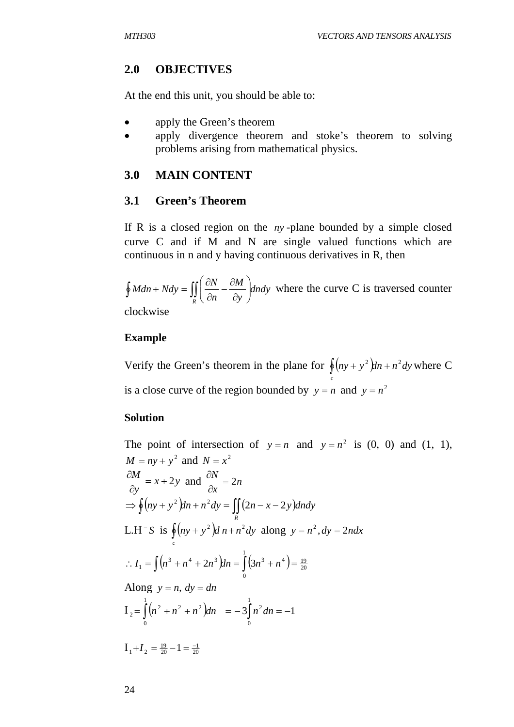## **2.0 OBJECTIVES**

At the end this unit, you should be able to:

- apply the Green's theorem
- apply divergence theorem and stoke's theorem to solving problems arising from mathematical physics.

## **3.0 MAIN CONTENT**

## **3.1 Green's Theorem**

If R is a closed region on the *ny* -plane bounded by a simple closed curve C and if M and N are single valued functions which are continuous in n and y having continuous derivatives in R, then

*dndy y M n*  $Mdn + Ndy = \iint \frac{\partial N}{\partial x}$  $\oint M dn + N dy = \iint_R \left( \frac{\partial W}{\partial n} - \frac{\partial W}{\partial y} \right)$  $\bigg)$  $\mathcal{L}$  $\overline{\phantom{a}}$  $\setminus$ ſ  $\partial$  $-\frac{\partial}{\partial x}$  $\partial$  $W + Ndy = \iint \left( \frac{\partial N}{\partial y} - \frac{\partial M}{\partial z} \right) dxdy$  where the curve C is traversed counter

clockwise

## **Example**

Verify the Green's theorem in the plane for  $\oint (ny + y^2)dn + n^2 dy$  where C *c* is a close curve of the region bounded by  $y = n$  and  $y = n^2$ 

#### **Solution**

The point of intersection of  $y = n$  and  $y = n^2$  is (0, 0) and (1, 1),  $M = nv + v^2$  and  $N = x^2$  $x + 2y$ *y*  $\frac{M}{2} = x + 2$  $\partial$  $\frac{\partial M}{\partial x}$  = x + 2y and  $\frac{\partial N}{\partial y}$  = 2n *x*  $\frac{N}{\cdot}$  = 2  $\partial$  $\partial$  $\Rightarrow$   $\oint (ny + y^2)dn + n^2dy = \iint (2n - x - 2y)dn dy$ *R* L.H<sup>-</sup>S is  $\oint (ny + y^2) d\,n + n^2 dy$  along  $y = n^2$ ,  $dy = 2n dx$ *c*  $\left(n^3+n^4+2n^3\right)ln=\int (3n^3+n^4)=\frac{19}{20}$ 1  $\therefore I_1 = \int (n^3 + n^4 + 2n^3) dn = \int_0^1 (3n^3 + n^4) dm$ Along  $y = n$ ,  $dy = dn$  $I_2 = \int (n^2 + n^2 + n^2) dn = -3 \int n^2 dn = -$ 1  $\boldsymbol{0}$ 1  $\boldsymbol{0}$  $a_2 = \left( \left( n^2 + n^2 + n^2 \right) \right)$ dn = -3  $\left( n^2 \right)$ dn = -1  $I_1 + I_2 = \frac{19}{20} - 1 = \frac{-1}{20}$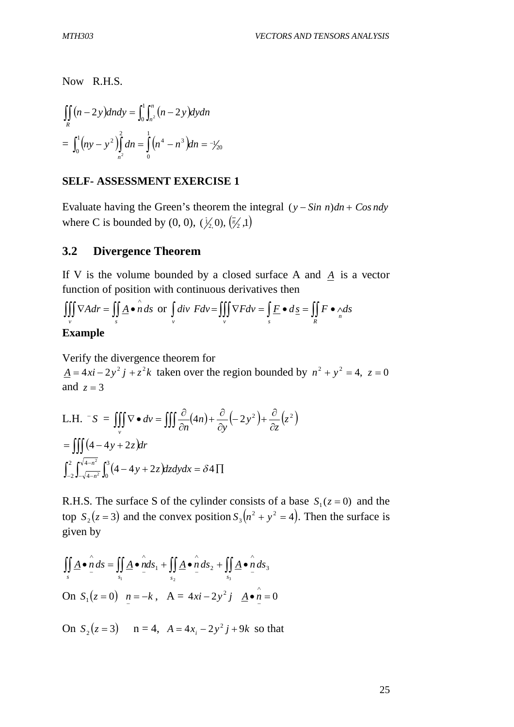Now R.H.S.

$$
\iint_{R} (n-2y) dxdy = \int_{0}^{1} \int_{n^{2}}^{n} (n-2y) dy dn
$$
  
=  $\int_{0}^{1} (ny - y^{2}) \int_{n^{2}}^{2} dn = \int_{0}^{1} (n^{4} - n^{3}) dn = -\frac{1}{2}(\sqrt{3})$ 

#### **SELF- ASSESSMENT EXERCISE 1**

Evaluate having the Green's theorem the integral  $(y - Sin n)dn + Cos ndy$ where C is bounded by  $(0, 0)$ ,  $(\frac{1}{2}, 0)$ ,  $(\frac{1}{2}, 1)$ 

#### **3.2 Divergence Theorem**

If V is the volume bounded by a closed surface A and *A* is a vector function of position with continuous derivatives then

$$
\iiint_{V} \nabla A dr = \iint_{S} \underline{A} \cdot \hat{n} ds \text{ or } \int_{V} \text{div } F dv = \iiint_{V} \nabla F dv = \int_{S} \underline{F} \cdot d\underline{s} = \iint_{R} F \cdot \Delta s
$$

#### **Example**

Verify the divergence theorem for  $\underline{A} = 4xi - 2y^2 j + z^2 k$  taken over the region bounded by  $n^2 + y^2 = 4$ ,  $z = 0$ and  $z = 3$ 

L.H. 
$$
-S = \iiint_{v} \nabla \cdot dv = \iiint_{\partial n} \frac{\partial}{\partial n} (4n) + \frac{\partial}{\partial y} (-2y^2) + \frac{\partial}{\partial z} (z^2)
$$
  
\n
$$
= \iiint_{-2} (4 - 4y + 2z) dr
$$
\n
$$
\int_{-2}^{2} \int_{-\sqrt{4 - n^2}}^{\sqrt{4 - n^2}} \int_{0}^{3} (4 - 4y + 2z) dz dy dx = \delta 4 \Pi
$$

R.H.S. The surface S of the cylinder consists of a base  $S_1(z=0)$  and the top  $S_2(z=3)$  and the convex position  $S_3(n^2 + y^2 = 4)$ . Then the surface is given by

$$
\iint_{s} \underline{A} \cdot \hat{n} ds = \iint_{s_1} \underline{A} \cdot \hat{n} ds_1 + \iint_{s_2} \underline{A} \cdot \hat{n} ds_2 + \iint_{s_3} \underline{A} \cdot \hat{n} ds_3
$$
  
On  $S_1(z=0)$   $n = -k$ ,  $A = 4xi - 2y^2 j$   $\underline{A} \cdot \hat{n} = 0$ 

On  $S_2(z=3)$   $n=4$ ,  $A = 4x_i - 2y^2j + 9k$  so that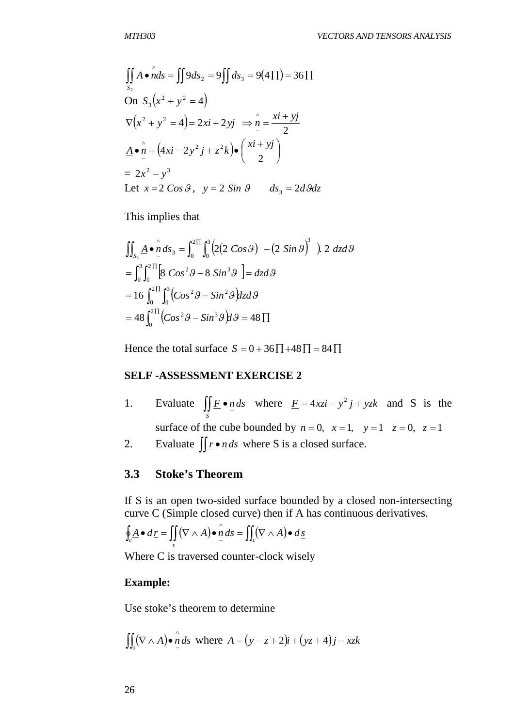$$
\iint_{S_2} A \cdot \hat{n} ds = \iint 9 ds_2 = 9 \iint ds_3 = 9(4 \Pi) = 36 \Pi
$$
  
On  $S_3(x^2 + y^2 = 4)$   

$$
\nabla (x^2 + y^2 = 4) = 2xi + 2yj \implies \hat{n} = \frac{xi + yj}{2}
$$
  

$$
\underline{A} \cdot \hat{n} = (4xi - 2y^2 j + z^2 k) \cdot (\frac{xi + yj}{2})
$$
  

$$
= 2x^2 - y^3
$$
  
Let  $x = 2 \cos \theta$ ,  $y = 2 \sin \theta$   $ds_3 = 2d\theta dz$ 

This implies that

$$
\iint_{S_3} \underline{A} \cdot \hat{n} \, ds_3 = \int_0^{2\Pi} \int_0^3 (2(2 \cos \theta) - (2 \sin \theta)^3) 2 \, dz d\theta
$$
  
= 
$$
\int_0^3 \int_0^{2\Pi} [8 \cos^2 \theta - 8 \sin^3 \theta] = dz d\theta
$$
  
= 
$$
16 \int_0^{2\Pi} \int_0^3 (Cos^2 \theta - Sin^2 \theta) dz d\theta
$$
  
= 
$$
48 \int_0^{2\Pi} (Cos^2 \theta - Sin^3 \theta) d\theta = 48 \Pi
$$

Hence the total surface  $S = 0 + 36 \overline{1} + 48 \overline{1} = 84 \overline{1}$ 

#### **SELF -ASSESSMENT EXERCISE 2**

- 1. Evaluate  $\iint_E \cdot n \, ds$  $\iint_{S} \underline{F} \cdot \underline{n} \, ds$  where  $\underline{F} = 4xzi - y^2j + yzk$  and *S* is the surface of the cube bounded by  $n = 0$ ,  $x = 1$ ,  $y = 1$ ,  $z = 0$ ,  $z = 1$
- 2. Evaluate  $\iint \frac{\mathbf{r} \cdot \mathbf{n}}{d\mathbf{s}}$  where S is a closed surface.

## **3.3 Stoke's Theorem**

If S is an open two-sided surface bounded by a closed non-intersecting curve C (Simple closed curve) then if A has continuous derivatives.

$$
\oint_c \underline{A} \bullet d\underline{r} = \iint_s (\nabla \wedge A) \bullet \stackrel{\wedge}{n} ds = \iint_c (\nabla \wedge A) \bullet d\underline{s}
$$

Where C is traversed counter-clock wisely

#### **Example:**

Use stoke's theorem to determine

$$
\iint_{S} (\nabla \wedge A) \bullet \stackrel{\wedge}{\cdot} ds \text{ where } A = (y - z + 2)i + (yz + 4)j - xzk
$$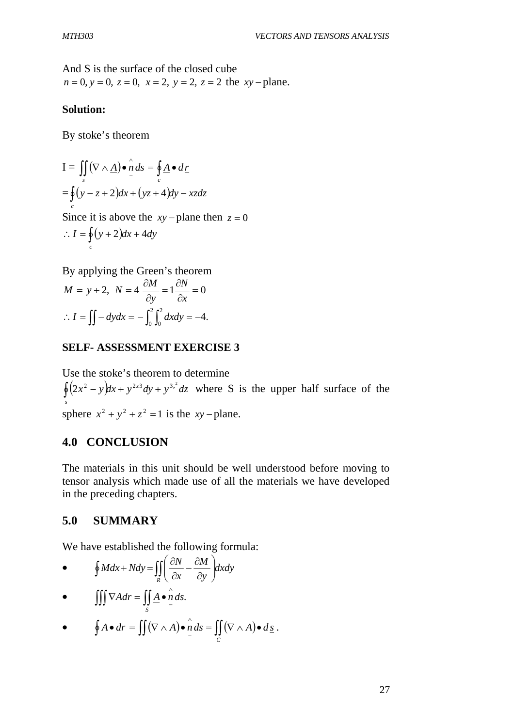And S is the surface of the closed cube  $n = 0$ ,  $y = 0$ ,  $z = 0$ ,  $x = 2$ ,  $y = 2$ ,  $z = 2$  the  $xy$ -plane.

## **Solution:**

By stoke's theorem

$$
\begin{aligned} \mathbf{I} &= \iint_{s} (\nabla \wedge \underline{A}) \bullet \mathbf{\hat{n}} \, ds = \oint_{c} \underline{A} \bullet \, d\underline{r} \\ &= \oint_{c} (y - z + 2) dx + (yz + 4) dy - xz dz \\ &\text{Since it is above the } xy - \text{plane then } z = 0 \\ \therefore I &= \oint_{c} (y + 2) dx + 4 dy \end{aligned}
$$

By applying the Green's theorem 2,  $N = 4 \frac{cm}{a} = 1 \frac{cm}{c} = 0$  $\partial$  $=1\frac{\partial}{\partial x}$  $\partial$  $= y + 2, N = 4 \frac{\partial}{\partial x}$ *x N y*  $M = y + 2$ ,  $N = 4 \frac{\partial M}{\partial x}$  $\int_{a}^{2} dx dy = -4.$ 0 2  $\therefore I = \iint -dydx = -\int_0^1 \int_0^x dx dy = -$ 

#### **SELF- ASSESSMENT EXERCISE 3**

Use the stoke's theorem to determine  $\oint (2x^2 - y)dx + y^{2z^2}dy + y^{3z^2}dz$  where S is the upper half surface of the *s* sphere  $x^2 + y^2 + z^2 = 1$  is the *xy* – plane.

## **4.0 CONCLUSION**

The materials in this unit should be well understood before moving to tensor analysis which made use of all the materials we have developed in the preceding chapters.

## **5.0 SUMMARY**

We have established the following formula:

• 
$$
\oint Mdx + Ndy = \iint_{R} \left( \frac{\partial N}{\partial x} - \frac{\partial M}{\partial y} \right) dxdy
$$

•  $\bigcup \nabla A dr = \bigcup \underline{A} \cdot n \, ds.$ *S*  $\wedge$  $\iiint \nabla A dr = \iint \underline{A} \cdot \underline{n}$ 

• 
$$
\oint A \bullet dr = \iint (\nabla \wedge A) \bullet \stackrel{\wedge}{n} ds = \iint_C (\nabla \wedge A) \bullet d\underline{s}.
$$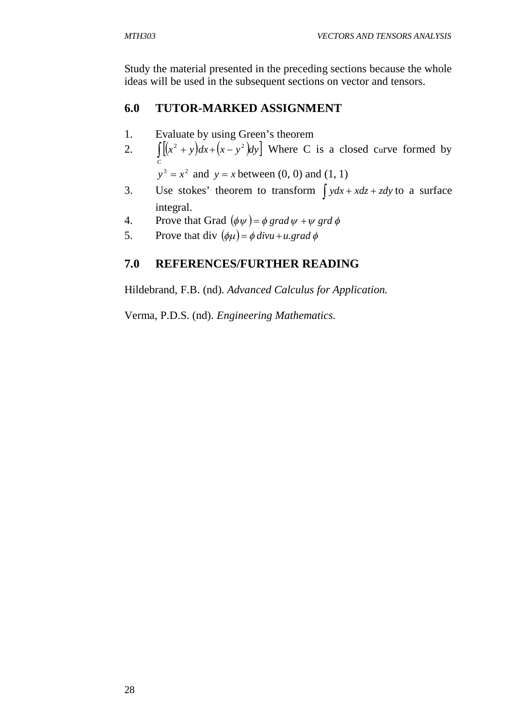Study the material presented in the preceding sections because the whole ideas will be used in the subsequent sections on vector and tensors.

# **6.0 TUTOR-MARKED ASSIGNMENT**

- 1. Evaluate by using Green's theorem
- 2.  $\int \left( (x^2 + y) dx + (x y^2) dy \right)$  Where C is a closed curve formed by *C*
	- $y^3 = x^2$  and  $y = x$  between (0, 0) and (1, 1)
- 3. Use stokes' theorem to transform  $\int ydx + xdz + zdy$  to a surface integral.
- 4. Prove that Grad  $(\phi \psi) = \phi \, grad \, \psi + \psi \, grad \, \phi$
- 5. Prove that div  $(\phi \mu) = \phi \, divu + u \, grad \, \phi$

# **7.0 REFERENCES/FURTHER READING**

Hildebrand, F.B. (nd). *Advanced Calculus for Application.*

Verma, P.D.S. (nd). *Engineering Mathematics.*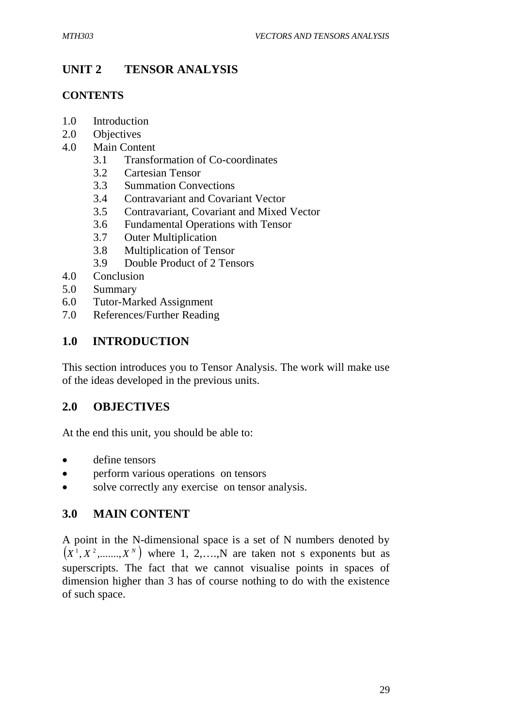# **UNIT 2 TENSOR ANALYSIS**

## **CONTENTS**

- 1.0 Introduction
- 2.0 Objectives
- 4.0 Main Content
	- 3.1 Transformation of Co-coordinates
	- 3.2 Cartesian Tensor
	- 3.3 Summation Convections
	- 3.4 Contravariant and Covariant Vector
	- 3.5 Contravariant, Covariant and Mixed Vector
	- 3.6 Fundamental Operations with Tensor
	- 3.7 Outer Multiplication
	- 3.8 Multiplication of Tensor
	- 3.9 Double Product of 2 Tensors
- 4.0 Conclusion
- 5.0 Summary
- 6.0 Tutor-Marked Assignment
- 7.0 References/Further Reading

# **1.0 INTRODUCTION**

This section introduces you to Tensor Analysis. The work will make use of the ideas developed in the previous units.

## **2.0 OBJECTIVES**

At the end this unit, you should be able to:

- define tensors
- perform various operations on tensors
- solve correctly any exercise on tensor analysis.

## **3.0 MAIN CONTENT**

A point in the N-dimensional space is a set of N numbers denoted by  $(X^1, X^2, \ldots, X^N)$  where 1, 2,  $\ldots, N$  are taken not s exponents but as superscripts. The fact that we cannot visualise points in spaces of dimension higher than 3 has of course nothing to do with the existence of such space.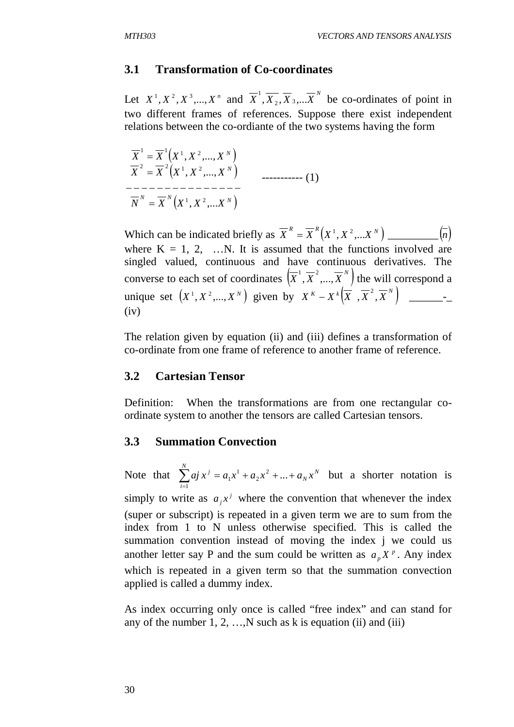#### **3.1 Transformation of Co-coordinates**

Let  $X^1, X^2, X^3, \ldots, X^n$  and  $\overline{X}^1, \overline{X_2}, \overline{X_3}, \ldots, \overline{X}^N$  be co-ordinates of point in two different frames of references. Suppose there exist independent relations between the co-ordiante of the two systems having the form

$$
\overline{X}^{1} = \overline{X}^{1}(X^{1}, X^{2},..., X^{N})
$$
\n
$$
\overline{X}^{2} = \overline{X}^{2}(X^{1}, X^{2},..., X^{N})
$$
\n
$$
---\overline{X}^{N} = \overline{X}^{N}(X^{1}, X^{2},...X^{N})
$$
\n
$$
---\overline{X}^{N} = \overline{X}^{N}(X^{1}, X^{2},...X^{N})
$$
\n(1)

Which can be indicated briefly as *N R R X X X* , *X* ,...*X* 1 2 \_\_\_\_\_\_\_\_\_ *n* where  $K = 1, 2, \dots, N$ . It is assumed that the functions involved are singled valued, continuous and have continuous derivatives. The converse to each set of coordinates  $(\overline{X}^1, \overline{X}^2, ..., \overline{X}^N)$  the will correspond a unique set *<sup>N</sup> X* , *X* ,..., *X* 1 2 given by *<sup>N</sup> <sup>K</sup> <sup>k</sup> X X X* , *X* , *X* 2 \_\_\_\_\_\_-\_  $(iv)$ 

The relation given by equation (ii) and (iii) defines a transformation of co-ordinate from one frame of reference to another frame of reference.

#### **3.2 Cartesian Tensor**

Definition: When the transformations are from one rectangular coordinate system to another the tensors are called Cartesian tensors.

#### **3.3 Summation Convection**

Note that  $\sum aj x^j = a_1 x^1 + a_2 x^2 + ... + a_N x^N$ *N*  $\sum_{i=1}$  *aj*  $x^j = a_1 x^1 + a_2 x^2 + ... + a_N x$  $^{2}+...$ 1 2  $1 x<sup>1</sup> + a<sub>2</sub> x<sup>2</sup> + ... + a<sub>N</sub> x<sup>N</sup>$  but a shorter notation is simply to write as  $a_j x^j$  where the convention that whenever the index (super or subscript) is repeated in a given term we are to sum from the index from 1 to N unless otherwise specified. This is called the summation convention instead of moving the index j we could us another letter say P and the sum could be written as  $a_p X^p$ . Any index which is repeated in a given term so that the summation convection applied is called a dummy index.

As index occurring only once is called "free index" and can stand for any of the number  $1, 2, \ldots$ , N such as k is equation (ii) and (iii)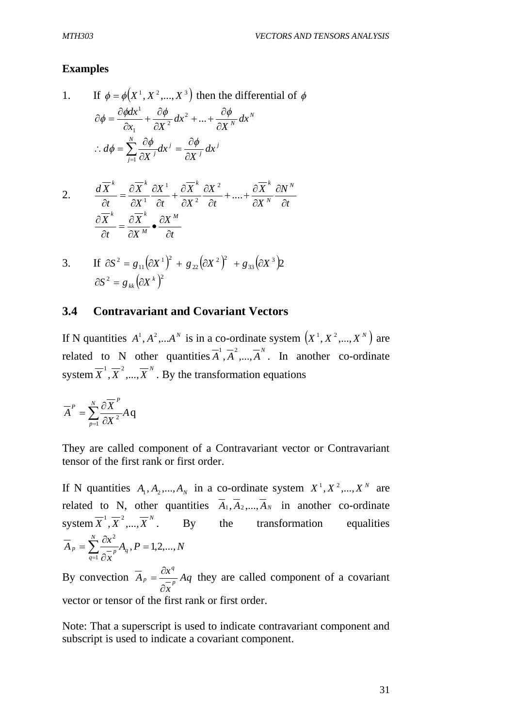#### **Examples**

1. If 
$$
\phi = \phi(X^1, X^2, ..., X^3)
$$
 then the differential of  $\phi$   
\n
$$
\partial \phi = \frac{\partial \phi dx^1}{\partial x_1} + \frac{\partial \phi}{\partial X^2} dx^2 + ... + \frac{\partial \phi}{\partial X^N} dx^N
$$
\n
$$
\therefore d\phi = \sum_{j=1}^N \frac{\partial \phi}{\partial X^j} dx^j = \frac{\partial \phi}{\partial X^j} dx^j
$$

2. 
$$
\frac{d\overline{X}^{k}}{\partial t} = \frac{\partial \overline{X}^{k}}{\partial X^{1}} \frac{\partial X^{1}}{\partial t} + \frac{\partial \overline{X}^{k}}{\partial X^{2}} \frac{\partial X^{2}}{\partial t} + .... + \frac{\partial \overline{X}^{k}}{\partial X^{N}} \frac{\partial N^{N}}{\partial t}
$$

$$
\frac{\partial \overline{X}^{k}}{\partial t} = \frac{\partial \overline{X}^{k}}{\partial X^{M}} \bullet \frac{\partial X^{M}}{\partial t}
$$

3. If 
$$
\partial S^2 = g_{11} (\partial X^1)^2 + g_{22} (\partial X^2)^2 + g_{33} (\partial X^3) 2
$$
  
 $\partial S^2 = g_{kk} (\partial X^k)^2$ 

#### **3.4 Contravariant and Covariant Vectors**

If N quantities  $A^1, A^2, \ldots, A^N$  is in a co-ordinate system  $(X^1, X^2, \ldots, X^N)$  are related to N other quantities  $\overline{A}^1$ ,  $\overline{A}^2$ , ...,  $\overline{A}^N$ . In another co-ordinate system  $\overline{X}^1, \overline{X}^2, ..., \overline{X}^N$ . By the transformation equations

$$
\overline{A}^{P} = \sum_{p=1}^{N} \frac{\partial \overline{X}^{P}}{\partial X^{2}} A q
$$

They are called component of a Contravariant vector or Contravariant tensor of the first rank or first order.

If N quantities  $A_1, A_2, ..., A_N$  in a co-ordinate system  $X^1, X^2, ..., X^N$  are related to N, other quantities  $\overline{A}_1, \overline{A}_2, ..., \overline{A}_N$  in another co-ordinate system  $\overline{X}^1$ ,  $\overline{X}^2$ , ...,  $\overline{X}^N$ . By the transformation equalities  $A_a$ ,  $P = 1, 2, ..., N$ *x*  $\overline{A}_p = \sum^N \frac{\partial x^2}{\partial p} A_q$ *N*  $p = \sum_{q=1}^{\infty} \frac{\sigma x}{\partial x} A_q, P = 1,2,...,$ 1 2  $=$  $\partial$  $=\sum_{q=1}^N \frac{\partial}{\partial \tau}$ 

By convection  $A_p = \frac{ax}{a} Aq$ *x*  $\overline{A}_p = \frac{\partial x^q}{\partial p}$ *q p*  $\partial$  $=\frac{\partial x^q}{\partial x^q}$  are called component of a covariant vector or tensor of the first rank or first order.

Note: That a superscript is used to indicate contravariant component and subscript is used to indicate a covariant component.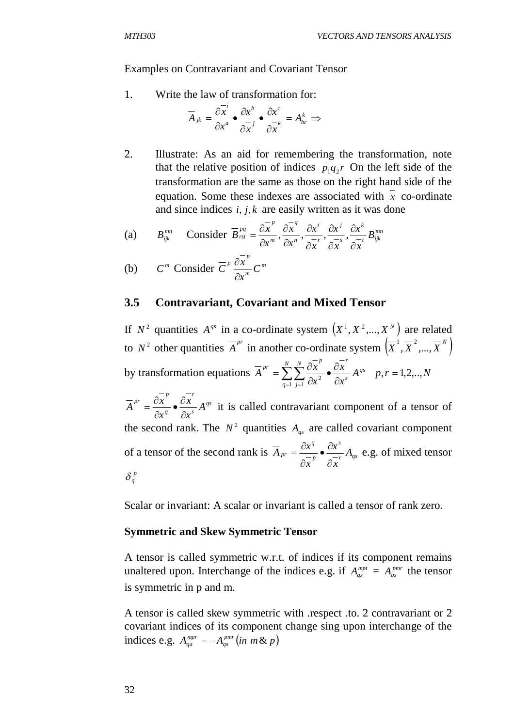Examples on Contravariant and Covariant Tensor

1. Write the law of transformation for:

$$
\overline{A}_{jk} = \frac{\partial x^i}{\partial x^a} \bullet \frac{\partial x^b}{\partial x^j} \bullet \frac{\partial x^c}{\partial x^k} = A_{bc}^k \Rightarrow
$$

2. Illustrate: As an aid for remembering the transformation, note that the relative position of indices  $p_1q_2r$  On the left side of the transformation are the same as those on the right hand side of the equation. Some these indexes are associated with  $\overline{x}$  co-ordinate and since indices *i*, *j*, *k* are easily written as it was done

(a) 
$$
B_{ijk}^{mn}
$$
 Consider  $\overline{B}_{rst}^{pq} = \frac{\partial \overline{x}^p}{\partial x^m}, \frac{\partial \overline{x}^q}{\partial x^n}, \frac{\partial x^i}{\partial \overline{x}}, \frac{\partial x^j}{\partial \overline{x}}, \frac{\partial x^k}{\partial \overline{x}}B_{ijk}^{mn}$ 

(b) 
$$
C^m
$$
 Consider  $\overline{C}^p \frac{\partial \overline{x}^p}{\partial x^m} C^m$ 

#### **3.5 Contravariant, Covariant and Mixed Tensor**

If  $N^2$  quantities  $A^{qs}$  in a co-ordinate system  $(X^1, X^2, ..., X^N)$  are related to  $N^2$  other quantities  $\overline{A}^{pr}$  in another co-ordinate system  $(\overline{X}^1, \overline{X}^2, ..., \overline{X}^N)$ by transformation equations  $A^{\prime\prime} = \sum \sum \frac{\partial x}{\partial x^2} \cdot \frac{\partial x}{\partial x^3} A^{qs}$ *N N*  $\overline{A}$ <sup>*r*</sup>  $\overline{A}$ <sup>*r*</sup> *q N j*  $P^r = \sum_{r=1}^{N} \sum_{r=1}^{N} \frac{\partial \overline{x}^p}{\partial x^2}$   $\bullet \frac{\partial \overline{x}^r}{\partial x^s} A$ *x x x*  $\overline{A}^{pr} = \sum_{n=1}^{N} \sum_{n=1}^{N} \frac{\partial x}{\partial n}$  $\partial$  $\frac{\partial}{\partial x^2}$  $\partial$  $=\sum_{q=1}^N\sum_{j=1}^N\frac{\partial x^r}{\partial x^2}\bullet \frac{\partial x^r}{\partial x^s}\ A^{qs}$   $p,r=1,2,..,N$ *qs s r q*  $P^r = \frac{\partial \overline{x}}{ \partial \overline{x}^p}$   $\bullet \frac{\partial \overline{x}}{ \partial \overline{x}^r}$   $A$ *x x x*  $\overline{A}^{pr} = \frac{\partial x}{\partial x}$  $\partial$  $\cdot \frac{\partial}{\partial}$  $\partial$  $=\frac{\partial x}{\partial x}$   $\cdot \frac{\partial x}{\partial x} A^{qs}$  it is called contravariant component of a tensor of the second rank. The  $N^2$  quantities  $A_{qs}$  are called covariant component of a tensor of the second rank is  $A_{pr} = \frac{ax}{a-p} \cdot \frac{bx}{a-p} A_{qs}$ *s p q*  $p_r = \frac{\sigma x}{\sigma} \bullet \frac{\sigma x}{\sigma} A$ *x x x*  $\overline{A}_{pr} = \frac{\partial x}{\partial}$  $\partial$  $\bullet \stackrel{\partial}{=}$  $\partial$  $=\frac{\partial x^q}{\partial x^s}$   $\bullet$   $\frac{\partial x^s}{\partial x^s}$  e.g. of mixed tensor  $\delta_q^{\,p}$ 

Scalar or invariant: A scalar or invariant is called a tensor of rank zero.

#### **Symmetric and Skew Symmetric Tensor**

A tensor is called symmetric w.r.t. of indices if its component remains unaltered upon. Interchange of the indices e.g. if  $A_{qs}^{mpt} = A_{qs}^{pmr}$  the tensor is symmetric in p and m.

A tensor is called skew symmetric with .respect .to. 2 contravariant or 2 covariant indices of its component change sing upon interchange of the indices e.g.  $A_{aa}^{mpr} = -A_{as}^{pmr} (in \ m \& p)$ *qs*  $\frac{mpr}{qa} = -A$   $_{qs}^{pmr}$   $(in\,\,m\,\&\,\,m)$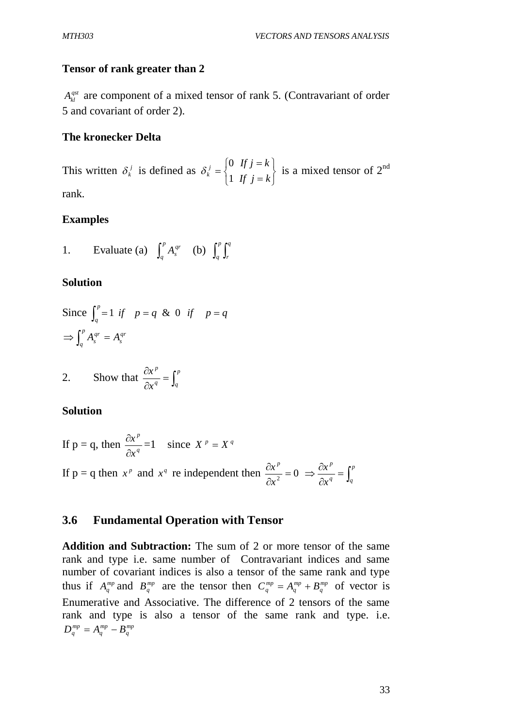#### **Tensor of rank greater than 2**

*A<sub>kl</sub>* are component of a mixed tensor of rank 5. (Contravariant of order 5 and covariant of order 2).

#### **The kronecker Delta**

This written  $\delta_k^j$  is defined as  $\int$  $\left\{ \right\}$  $\overline{\phantom{a}}$  $\overline{\mathcal{L}}$  $\left\{ \right.$  $\begin{array}{c} \hline \end{array}$  $=$  $=$  $=$ *If j k If j k <sup>j</sup>*  $\binom{k}{1}$  $\delta_k^j = \begin{cases} 0 & \text{if } j = k \\ 1 & \text{if } j = k \end{cases}$  is a mixed tensor of 2<sup>nd</sup> rank.

#### **Examples**

1. Evaluate (a) 
$$
\int_{q}^{p} A_{s}^{qr}
$$
 (b)  $\int_{q}^{p} \int_{r}^{q}$ 

#### **Solution**

Since 
$$
\int_q^p = 1
$$
 if  $p = q$  & 0 if  $p = q$   
\n $\Rightarrow \int_q^p A_s^{qr} = A_s^{qr}$ 

2. Show that 
$$
\frac{\partial x^p}{\partial x^q} = \int_q^p
$$

#### **Solution**

If p = q, then 
$$
\frac{\partial x^p}{\partial x^q} = 1
$$
 since  $X^p = X^q$   
If p = q then  $x^p$  and  $x^q$  re independent then  $\frac{\partial x^p}{\partial x^2} = 0 \implies \frac{\partial x^p}{\partial x^q} = \int_q^p$ 

## **3.6 Fundamental Operation with Tensor**

**Addition and Subtraction:** The sum of 2 or more tensor of the same rank and type i.e. same number of Contravariant indices and same number of covariant indices is also a tensor of the same rank and type thus if  $A_q^{mp}$  and  $B_q^{mp}$  are the tensor then  $C_q^{mp} = A_q^{mp} + B_q^{mp}$ *mp*  $C_q^{mp} = A_q^{mp} + B_q^{mp}$  of vector is Enumerative and Associative. The difference of 2 tensors of the same rank and type is also a tensor of the same rank and type. i.e. *mp q mp*  $D_q^{mp} = A_q^{mp} - B$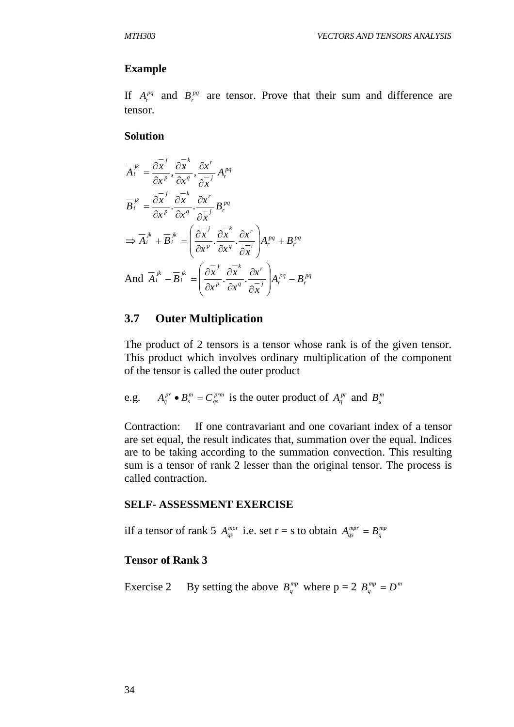#### **Example**

If  $A_r^{pq}$  and  $B_r^{pq}$  are tensor. Prove that their sum and difference are tensor.

#### **Solution**

$$
\overline{A}_{i}^{jk} = \frac{\partial \overline{x}^{j}}{\partial x^{p}}, \frac{\partial \overline{x}^{k}}{\partial x^{q}}, \frac{\partial x^{r}}{\partial \overline{x}^{j}} A_{r}^{pq}
$$
\n
$$
\overline{B}_{i}^{jk} = \frac{\partial \overline{x}^{j}}{\partial x^{p}} \cdot \frac{\partial \overline{x}^{k}}{\partial x^{q}} \cdot \frac{\partial x^{r}}{\partial \overline{x}^{j}} B_{r}^{pq}
$$
\n
$$
\Rightarrow \overline{A}_{i}^{jk} + \overline{B}_{i}^{jk} = \left(\frac{\partial \overline{x}^{j}}{\partial x^{p}} \cdot \frac{\partial \overline{x}^{k}}{\partial x^{q}} \cdot \frac{\partial x^{r}}{\partial \overline{x}^{i}}\right) A_{r}^{pq} + B_{r}^{pq}
$$
\nAnd  $\overline{A}_{i}^{jk} - \overline{B}_{i}^{jk} = \left(\frac{\partial \overline{x}^{j}}{\partial x^{p}} \cdot \frac{\partial \overline{x}^{k}}{\partial x^{q}} \cdot \frac{\partial x^{r}}{\partial \overline{x}^{j}}\right) A_{r}^{pq} - B_{r}^{pq}$ 

#### **3.7 Outer Multiplication**

The product of 2 tensors is a tensor whose rank is of the given tensor. This product which involves ordinary multiplication of the component of the tensor is called the outer product

e.g. 
$$
A_q^{pr} \bullet B_s^m = C_{qs}^{prm}
$$
 is the outer product of  $A_q^{pr}$  and  $B_s^m$ 

Contraction: If one contravariant and one covariant index of a tensor are set equal, the result indicates that, summation over the equal. Indices are to be taking according to the summation convection. This resulting sum is a tensor of rank 2 lesser than the original tensor. The process is called contraction.

#### **SELF- ASSESSMENT EXERCISE**

iIf a tensor of rank 5  $A_{qs}^{mpr}$  i.e. set  $r = s$  to obtain  $A_{qs}^{mpr} = B_q^{mp}$ 

#### **Tensor of Rank 3**

Exercise 2 By setting the above  $B_q^{mp}$  where  $p = 2 B_q^{mp} = D^m$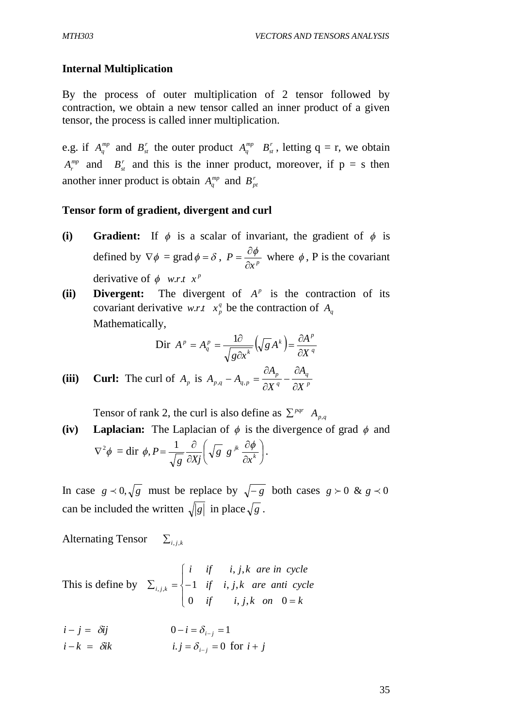#### **Internal Multiplication**

By the process of outer multiplication of 2 tensor followed by contraction, we obtain a new tensor called an inner product of a given tensor, the process is called inner multiplication.

e.g. if  $A_q^{mp}$  and  $B_s^r$  the outer product  $A_q^{mp}$   $B_s^r$ , letting  $q = r$ , we obtain  $A_r^{mp}$  and  $B_s^r$  and this is the inner product, moreover, if  $p = s$  then another inner product is obtain  $A_q^{mp}$  and  $B_{pt}^r$ 

#### **Tensor form of gradient, divergent and curl**

- **(i) Gradient:** If  $\phi$  is a scalar of invariant, the gradient of  $\phi$  is defined by  $\nabla \phi = \text{grad } \phi = \delta$ ,  $P = \frac{\partial \phi}{\partial x^p}$ *P*  $\partial$  $=\frac{\partial \phi}{\partial r}$  where  $\phi$ , P is the covariant derivative of  $\phi$  *w.r.t*  $x^p$
- (ii) **Divergent:** The divergent of  $A^p$  is the contraction of its covariant derivative *w.r.t*  $x_p^q$  be the contraction of  $A_q$ Mathematically,

$$
\text{Dir } A^{\,p} = A^{\,p}_q = \frac{1\partial}{\sqrt{g\partial x^k}} \left( \sqrt{g} \, A^k \right) = \frac{\partial A^{\,p}}{\partial X^{\,q}}
$$

(iii) **Curl:** The curl of 
$$
A_p
$$
 is  $A_{p,q} - A_{q,p} = \frac{\partial A_p}{\partial X^q} - \frac{\partial A_q}{\partial X^p}$ 

Tensor of rank 2, the curl is also define as  $\sum_{p,q} P^{qr} A_{p,q}$ 

**(iv)** Laplacian: The Laplacian of  $\phi$  is the divergence of grad  $\phi$  and  $\nabla^2 \phi = \text{dir } \phi, P = \frac{1}{\sqrt{2\pi}} \frac{C}{2V} \sqrt{g} g^{jk} \frac{C \phi}{2 k}$  $\bigg)$  $\left(\sqrt{g} g^{jk} \frac{\partial \phi}{\partial k}\right)$  $\setminus$ ſ  $\partial$  $\partial$  $\partial$  $=\frac{1}{\sqrt{2}}\frac{\partial}{\partial x^k}\left(\sqrt{g}g^{jk}\frac{\partial\phi}{\partial x^k}\right)$ *x g g g Xj*  $\phi, P = \frac{1}{\sqrt{2}} \frac{\partial}{\partial x} \left( \sqrt{g} g^{jk} \frac{\partial \phi}{\partial x^k} \right).$ 

In case  $g \lt 0$ ,  $\sqrt{g}$  must be replace by  $\sqrt{-g}$  both cases  $g \gt 0$  &  $g \lt 0$ can be included the written  $\sqrt{|g|}$  in place  $\sqrt{g}$ .

Alternating Tensor  $\sum_{i,k}$ 

This is define by  $\overline{\mathcal{L}}$  $\Big\}$ ↑  $\begin{bmatrix} \phantom{-} \end{bmatrix}$  $=$  $\sum_{i,j,k} = \{$ *if*  $i, j, k$  *on*  $0 = k$ *if i j k are anti cycle i if i j k are in cycle i j k* 0 if  $i, j, k$  on 0 1 if  $i, j$ , , *j*, , j ,

 $i - j = \delta i j$   $0 - i = \delta_{i - i} = 1$ *i* - *k* =  $\delta ik$  *i*. *j* =  $\delta_{i-i}$  = 0 for *i* + *j*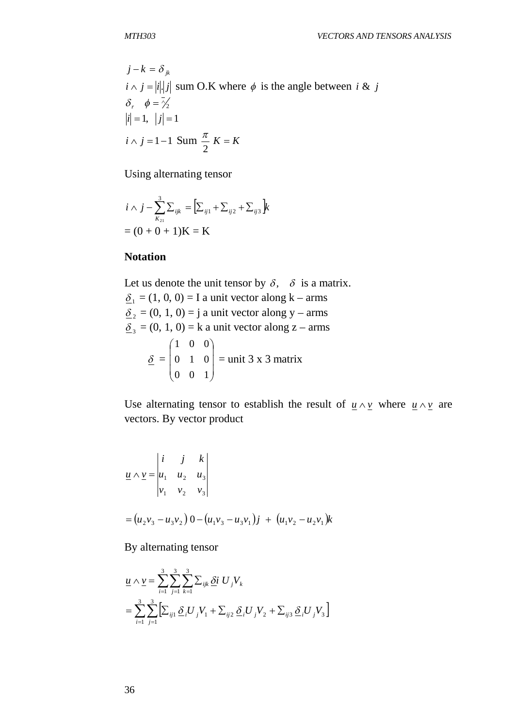$$
j - k = \delta_{jk}
$$
  
\n $i \wedge j = |i| |j|$  sum O.K where  $\phi$  is the angle between  $i \& j$   
\n $\delta_r$ ,  $\phi = \frac{1}{2}$   
\n $|i| = 1$ ,  $|j| = 1$   
\n $i \wedge j = 1 - 1$  Sum  $\frac{\pi}{2}$  K = K

Using alternating tensor

$$
i \wedge j - \sum_{K_{21}}^{3} \sum_{ijk} = \left[ \sum_{ij1} + \sum_{ij2} + \sum_{ij3} \right] k
$$
  
= (0 + 0 + 1)K = K

#### **Notation**

Let us denote the unit tensor by  $\delta$ ,  $\delta$  is a matrix.  $\underline{\delta}_1 = (1, 0, 0) = I$  a unit vector along k – arms  $\underline{\delta}_2 = (0, 1, 0) = j$  a unit vector along y – arms  $\underline{\delta}_3 = (0, 1, 0) = k$  a unit vector along z – arms  $\delta =$  $\overline{\phantom{a}}$  $\overline{\phantom{a}}$  $\overline{\phantom{a}}$ J  $\setminus$  $\mathbf{I}$ ļ.  $\mathsf{I}$  $\setminus$ ſ 0 0 1 0 1 0 1 0 0  $=$  unit 3 x 3 matrix

Use alternating tensor to establish the result of  $u \wedge v$  where  $u \wedge v$  are vectors. By vector product

$$
\underline{u} \wedge \underline{v} = \begin{vmatrix} i & j & k \\ u_1 & u_2 & u_3 \\ v_1 & v_2 & v_3 \end{vmatrix}
$$
  
=  $(u_2v_3 - u_3v_2) 0 - (u_1v_3 - u_3v_1)j + (u_1v_2 - u_2v_1)k$ 

By alternating tensor

$$
\underline{u} \wedge \underline{v} = \sum_{i=1}^{3} \sum_{j=1}^{3} \sum_{k=1}^{3} \sum_{ijk} \underline{\delta} i \ U_{j} V_{k}
$$
  
= 
$$
\sum_{i=1}^{3} \sum_{j=1}^{3} \Big[ \sum_{ij1} \underline{\delta}_{i} U_{j} V_{1} + \sum_{ij2} \underline{\delta}_{i} U_{j} V_{2} + \sum_{ij3} \underline{\delta}_{i} U_{j} V_{3} \Big]
$$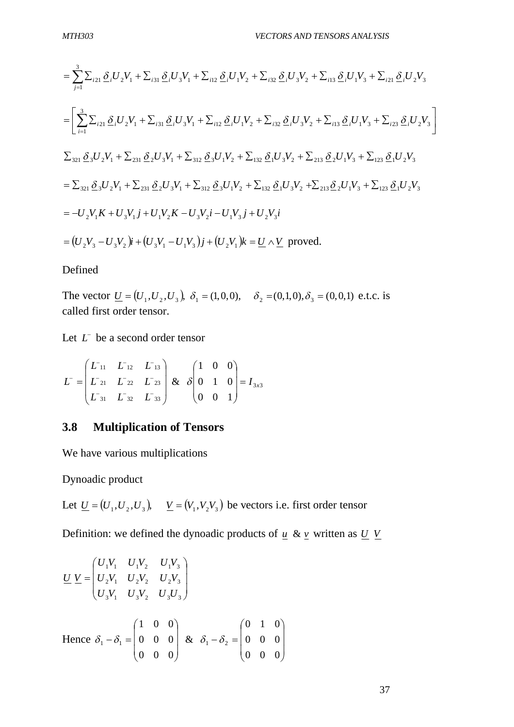$$
= \sum_{j=1}^{3} \sum_{i21} \underline{\delta}_{i} U_{2} V_{1} + \sum_{i31} \underline{\delta}_{i} U_{3} V_{1} + \sum_{i12} \underline{\delta}_{i} U_{1} V_{2} + \sum_{i32} \underline{\delta}_{i} U_{3} V_{2} + \sum_{i13} \underline{\delta}_{i} U_{1} V_{3} + \sum_{i21} \underline{\delta}_{i} U_{2} V_{3}
$$
  
\n
$$
= \left[ \sum_{i=1}^{3} \sum_{i21} \underline{\delta}_{i} U_{2} V_{1} + \sum_{i31} \underline{\delta}_{i} U_{3} V_{1} + \sum_{i12} \underline{\delta}_{i} U_{1} V_{2} + \sum_{i32} \underline{\delta}_{i} U_{3} V_{2} + \sum_{i13} \underline{\delta}_{i} U_{1} V_{3} + \sum_{i23} \underline{\delta}_{i} U_{2} V_{3} \right]
$$
  
\n
$$
\sum_{321} \underline{\delta}_{3} U_{2} V_{1} + \sum_{231} \underline{\delta}_{2} U_{3} V_{1} + \sum_{312} \underline{\delta}_{3} U_{1} V_{2} + \sum_{132} \underline{\delta}_{1} U_{3} V_{2} + \sum_{213} \underline{\delta}_{2} U_{1} V_{3} + \sum_{123} \underline{\delta}_{1} U_{2} V_{3}
$$
  
\n
$$
= \sum_{321} \underline{\delta}_{3} U_{2} V_{1} + \sum_{231} \underline{\delta}_{2} U_{3} V_{1} + \sum_{312} \underline{\delta}_{3} U_{1} V_{2} + \sum_{132} \underline{\delta}_{1} U_{3} V_{2} + \sum_{213} \underline{\delta}_{2} U_{1} V_{3} + \sum_{123} \underline{\delta}_{1} U_{2} V_{3}
$$
  
\n
$$
= -U_{2} V_{1} K + U_{3} V_{1} j + U_{1} V_{2} K - U_{3} V_{2} i - U_{1} V_{3} j + U_{2} V_{3} i
$$
  
\n
$$
= (U_{2} V_{3} - U_{3} V_{2} ) \mathbf{i} + (U_{3} V_{1} - U_{1} V_{3} ) \mathbf{j} + (U_{2} V_{1} ) \mathbf{k}
$$

#### Defined

The vector  $\underline{U} = (U_1, U_2, U_3)$ ,  $\delta_1 = (1,0,0)$ ,  $\delta_2 = (0,1,0), \delta_3 = (0,0,1)$  e.t.c. is called first order tensor.

Let  $L^-$  be a second order tensor

$$
L = \begin{pmatrix} L_{11} & L_{12} & L_{13} \\ L_{21} & L_{22} & L_{23} \\ L_{31} & L_{32} & L_{33} \end{pmatrix} \& \delta \begin{pmatrix} 1 & 0 & 0 \\ 0 & 1 & 0 \\ 0 & 0 & 1 \end{pmatrix} = I_{3x3}
$$

# **3.8 Multiplication of Tensors**

We have various multiplications

Dynoadic product

Let  $\underline{U} = (U_1, U_2, U_3)$ ,  $\underline{V} = (V_1, V_2V_3)$  be vectors i.e. first order tensor

Definition: we defined the dynoadic products of  $\mu \& y$  written as  $U \ Y$ 

$$
\underline{U} \underline{V} = \begin{pmatrix} U_1 V_1 & U_1 V_2 & U_1 V_3 \\ U_2 V_1 & U_2 V_2 & U_2 V_3 \\ U_3 V_1 & U_3 V_2 & U_3 U_3 \end{pmatrix}
$$
  
Hence  $\delta_1 - \delta_1 = \begin{pmatrix} 1 & 0 & 0 \\ 0 & 0 & 0 \\ 0 & 0 & 0 \end{pmatrix}$  &  $\delta_1 - \delta_2 = \begin{pmatrix} 0 & 1 & 0 \\ 0 & 0 & 0 \\ 0 & 0 & 0 \end{pmatrix}$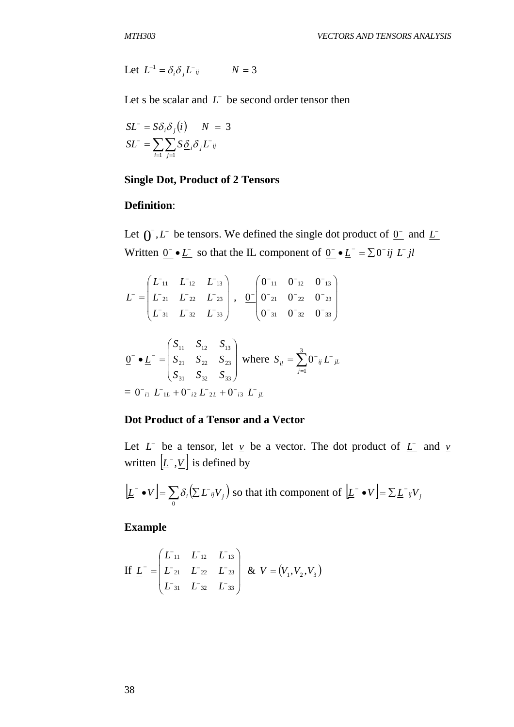Let  $L^{-1} = \delta_i \delta_j L^{-ij}$   $N = 3$ 

Let s be scalar and  $L^-$  be second order tensor then

$$
SL^{-} = S\delta_i \delta_j(i) \qquad N = 3
$$

$$
SL^{-} = \sum_{i=1}^{n} \sum_{j=1}^{n} S \underline{\delta}_i \delta_j L^{-}_{ij}
$$

#### **Single Dot, Product of 2 Tensors**

## **Definition**:

Let  $\int_0^{\infty}$ , *L*<sup>-</sup> be tensors. We defined the single dot product of  $\int_0^{\infty}$  and <u>*L*</u><sup>-</sup> Written  $\underline{0}^- \bullet \underline{L}^-$  so that the IL component of  $\underline{0}^- \bullet \underline{L}^- = \sum 0^- i j L^- j l$ 

$$
L^{-} = \begin{pmatrix} L_{11} & L_{12} & L_{13} \\ L_{21} & L_{22} & L_{23} \\ L_{31} & L_{32} & L_{33} \end{pmatrix}, \quad \underbrace{0^{-} \begin{pmatrix} 0^{-}_{11} & 0^{-}_{12} & 0^{-}_{13} \\ 0^{-}_{21} & 0^{-}_{22} & 0^{-}_{23} \\ 0^{-}_{31} & 0^{-}_{32} & 0^{-}_{33} \end{pmatrix}}
$$

$$
\underline{0}^{-} \bullet \underline{L}^{-} = \begin{pmatrix} S_{11} & S_{12} & S_{13} \\ S_{21} & S_{22} & S_{23} \\ S_{31} & S_{32} & S_{33} \end{pmatrix} \text{ where } S_{il} = \sum_{j=1}^{3} 0^{-} \, {}_{ij} L^{-}{}_{jL}
$$
\n
$$
= 0^{-}{}_{i1} L^{-}{}_{1L} + 0^{-}{}_{i2} L^{-}{}_{2L} + 0^{-}{}_{i3} L^{-}{}_{jL}
$$

#### **Dot Product of a Tensor and a Vector**

Let  $L^-$  be a tensor, let  $\gamma$  be a vector. The dot product of  $\overline{L}^-$  and  $\gamma$ written  $|\underline{L}^{\text{-}}, \underline{V}|$  is defined by

$$
\left[\underline{L}^{\text{-}} \bullet \underline{V}\right] = \sum_{0} \delta_{i} \left(\sum L^{\text{-}}_{ij} V_{j}\right)
$$
 so that ith component of 
$$
\left[\underline{L}^{\text{-}} \bullet \underline{V}\right] = \sum \underline{L}^{\text{-}}_{ij} V_{j}
$$

**Example**

If 
$$
\underline{L}^- = \begin{pmatrix} L_{11} & L_{12} & L_{13} \\ L_{21} & L_{22} & L_{23} \\ L_{31} & L_{32} & L_{33} \end{pmatrix}
$$
 &  $V = (V_1, V_2, V_3)$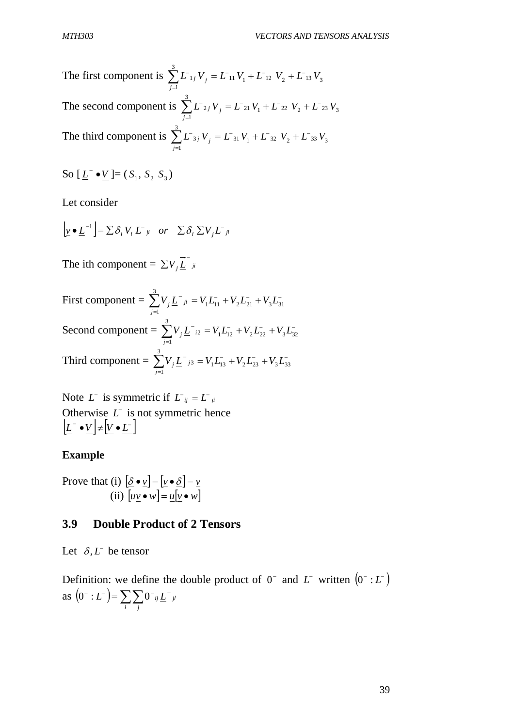The first component is  $\sum L_{1j} V_j = L_{11} V_1 + L_{12} V_2 + L_{13} V_3$ 3 1  $L$ <sup>-</sup><sub>1</sub>*j*  $V$ <sub>*i*</sub> =  $L$ <sup>-</sup><sub>11</sub></sub>  $V$ <sub>1</sub> +  $L$ <sup>-</sup>12<sup></sup>  $V$ <sub>2</sub> +  $L$ <sup>-</sup>13<sup>*V*</sup> *j*  $j$   $V_j = L_{11} V_1 + L_{12} V_2 + L_{13} V_3$  $\sum_{j=1} L_{1j} V_j = L_{11} V_1 + L_{12} V_2 +$ The second component is  $\sum L_{2j} V_j = L_{21} V_1 + L_{22} V_2 + L_{23} V_3$ 3 1  $L$ <sup>-</sup><sub>2*j*</sub>  $V$ <sub>*i*</sub> =  $L$ <sup>-</sup><sub>21</sub></sub>  $V$ <sub>1</sub> +  $L$ <sup>-</sup><sub>22</sub>  $V$ <sub>2</sub> +  $L$ <sup>-</sup><sub>23</sub>  $V$ *j*  $j$   $V_j = L_{21} V_1 + L_{22} V_2 + L_{13}$  $\sum_{j=1} L^-_{2j} V_j = L^-_{21} V_1 + L^-_{22} V_2 +$ The third component is  $\sum L_{3j} V_j = L_{31} V_1 + L_{32} V_2 + L_{33} V_3$ 3 1  $L$ <sup>-</sup><sub>3*i*</sub>  $V$ <sub>*i*</sub> =  $L$ <sup>-</sup><sub>31</sub></sub>  $V$ <sub>1</sub> +  $L$ <sup>-</sup>32<sup></sup>  $V$ <sub>2</sub> +  $L$ <sup>-</sup>33<sup>*V*</sup> *j*  $j$   $V_j = L$ <sup>-</sup>31  $V_1 + L$ <sup>-</sup>32  $V_2 + L$ <sup>-</sup>  $\sum_{j=1} L^-$ 3j  $V_j = L^-$ 31  $V_1 + L^-$ 32  $V_2$  +

So 
$$
[\underline{L}^{\text{-}} \bullet \underline{V}] = (S_1, S_2, S_3)
$$

Let consider

$$
\left[\underline{v} \bullet \underline{L}^{-1}\right] = \sum \delta_i V_i L^{-1} \quad or \quad \sum \delta_i \sum V_j L^{-1}
$$

The ith component =  $\sum V_j \vec{L}^{\dagger}$  *ji* 

First component =  $\sum V_i \underline{L}^-_{ji} = V_1 \underline{L}^-_{11} + V_2 \underline{L}^-_{21} + V_3 \underline{L}^-_3$  $\sum_{j=1}^{3} V_j \underline{L}^-_{ji} = V_1 \overline{L}_{11}^- + V_2 \overline{L}_{21}^- + V_3 \overline{L}_{31}^-$ 1  $V_i \underline{L}^-_{ji} = V_1 L_{11}^- + V_2 L_{21}^- + V_3 L$ *j j* Second component =  $\sum V_i L_{i2} = V_1 L_{12} + V_2 L_{22} + V_3 L_3$  $\sum_{j=1}^{3} V_j \underline{L}^-_{i2} = V_1 \underline{L}^-_{12} + V_2 \underline{L}^-_{22} + V_3 \underline{L}^-_{32}$ 1  $V_i \underline{L}^i_{i2} = V_1 L_{12}^i + V_2 L_{22}^i + V_3 L_{31}^i$ *j j* Third component =  $\sum V_i \underline{L}_{i3}^{\dagger} = V_1 L_{13}^{\dagger} + V_2 L_{23}^{\dagger} + V_3 L_{3}^{\dagger}$  $\sum_{j=1}^{3} V_j \underline{L}^-_{j3} = V_1 L_{13}^- + V_2 L_{23}^- + V_3 L_{33}^-$ 1  $V_i \underline{L}^{\dagger}{}_{j3} = V_1 L_{13}^{\dagger} + V_2 L_{23}^{\dagger} + V_3 L_{3}^{\dagger}$ *j j*

Note  $L^-$  is symmetric if  $L^-_{ij} = L^-_{ji}$ Otherwise  $L^{\dagger}$  is not symmetric hence  $|\underline{L}^{\text{-}} \bullet \underline{V}| \neq |\underline{V} \bullet \underline{L}^{\text{-}}|$ 

#### **Example**

Prove that (i)  $\delta \cdot \underline{v} = |\underline{v} \cdot \delta| = \underline{v}$ (ii)  $[u \underline{v} \bullet w] = \underline{u}[\underline{v} \bullet w]$ 

#### **3.9 Double Product of 2 Tensors**

Let  $\delta$ , *L*<sup> $\delta$ </sup> be tensor

Definition: we define the double product of  $0^-$  and  $L^-$  written  $(0^- : L^-)$ as  $(0^-:L^-) = \sum_{j} \sum_{j} 0^-_{ij} L^-_{jl}$ *i j*  $(0^-:L^-)=\sum\sum 0^-$ ij  $\underline{L}^-$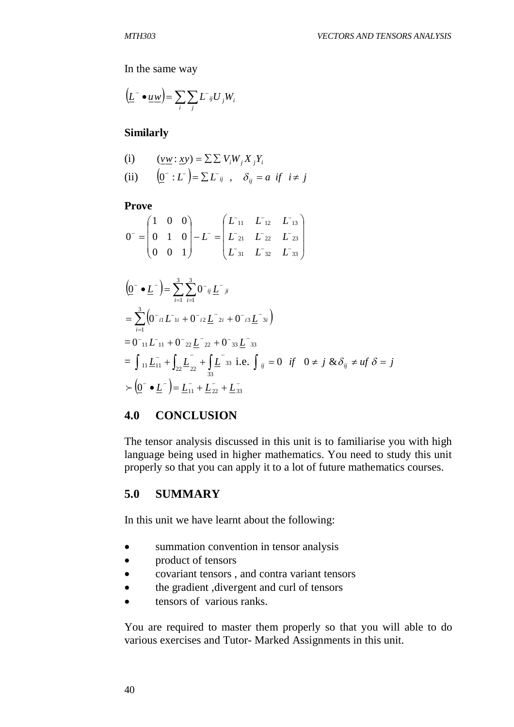In the same way

$$
\left(\underline{L}^-\bullet \underline{u}\underline{w}\right) = \sum_i \sum_j L^-_{ij} U_j W_i
$$

#### **Similarly**

(i) 
$$
(\underline{vw}: \underline{xy}) = \sum \sum V_i W_j X_j Y_i
$$
  
\n(ii)  $(\underline{0}^-: L^-) = \sum L^-_{ij}$ ,  $\delta_{ij} = a$  if  $i \neq j$ 

#### **Prove**

$$
0^- = \begin{pmatrix} 1 & 0 & 0 \\ 0 & 1 & 0 \\ 0 & 0 & 1 \end{pmatrix} - L^- = \begin{pmatrix} L_{11} & L_{12} & L_{13} \\ L_{21} & L_{22} & L_{23} \\ L_{31} & L_{32} & L_{33} \end{pmatrix}
$$

$$
\begin{aligned}\n&\left(\underline{0}^{-} \bullet \underline{L}^{-}\right) = \sum_{i=1}^{3} \sum_{i=1}^{3} 0^{-i} \underline{L}^{-ji} \\
&= \sum_{i=1}^{3} \left(0^{-i} L^{-1} \underline{L}^{-} + 0^{-i} \underline{L}^{-} \underline{L}^{-} + 0^{-i} \underline{L}^{-} \underline{L}^{-} \underline{L}^{-} \underline{L}^{-} \underline{L} \right) \\
&= 0^{-1} \underline{L}^{-1} \underline{L}^{-1} + 0^{-2} \underline{L}^{-} \underline{L}^{-} \underline{L}^{-} + 0^{-3} \underline{L}^{-} \underline{L}^{-} \underline{L}^{-} \underline{L}^{-} \underline{L}^{-} \underline{L}^{-} \underline{L}^{-} \underline{L}^{-} \underline{L}^{-} \underline{L}^{-} \underline{L}^{-} \underline{L}^{-} \underline{L}^{-} \underline{L}^{-} \underline{L}^{-} \underline{L}^{-} \underline{L}^{-} \underline{L}^{-} \underline{L}^{-} \underline{L}^{-} \underline{L}^{-} \underline{L}^{-} \underline{L}^{-} \underline{L}^{-} \underline{L}^{-} \underline{L}^{-} \underline{L}^{-} \underline{L}^{-} \underline{L}^{-} \underline{L}^{-} \underline{L}^{-} \underline{L}^{-} \underline{L}^{-} \underline{L}^{-} \underline{L}^{-} \underline{L}^{-} \underline{L}^{-} \underline{L}^{-} \underline{L}^{-} \underline{L}^{-} \underline{L}^{-} \underline{L}^{-} \underline{L}^{-} \underline{L}^{-} \underline{L}^{-} \underline{L}^{-} \underline{L}^{-} \underline{L}^{-} \underline{L}^{-} \underline{L}^{-} \underline{L}^{-} \underline{L}^{-} \underline{L}^{-} \underline{L}^{-} \underline{L}^{-} \underline{L}^{-} \underline{L}^{-} \underline{L}^{-} \underline{L}^{-} \underline{L}^{-} \underline{L}^{-} \underline{L}^{-} \underline{L}^{-} \underline{L}^{-} \underline{L}^{-} \underline{L}^{-} \underline{L}^{-} \underline{L}^{-} \underline{L}^{-} \underline{L}^{-} \underline{L}^{-} \underline{L}^{-} \underline{L}^{-} \underline{L}^{-} \underline{L}^{-} \underline{L}^{-} \underline{L}^{-} \underline{L}^{-} \underline{
$$

#### **4.0 CONCLUSION**

The tensor analysis discussed in this unit is to familiarise you with high language being used in higher mathematics. You need to study this unit properly so that you can apply it to a lot of future mathematics courses.

## **5.0 SUMMARY**

In this unit we have learnt about the following:

- summation convention in tensor analysis
- product of tensors
- covariant tensors , and contra variant tensors
- the gradient ,divergent and curl of tensors
- tensors of various ranks.

You are required to master them properly so that you will able to do various exercises and Tutor- Marked Assignments in this unit.